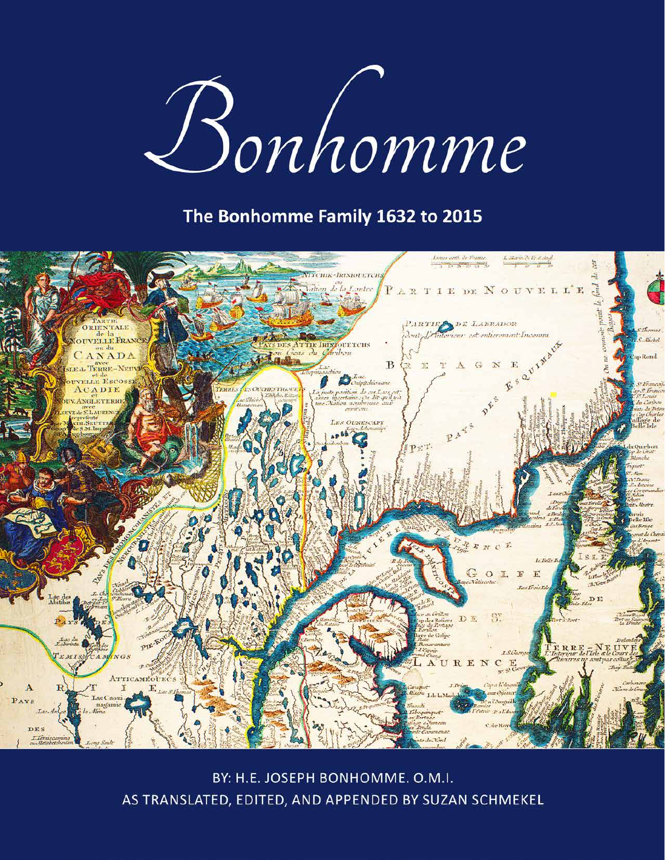# Bonhomme

### The Bonhomme Family 1632 to 2015



BY: H.E. JOSEPH BONHOMME. O.M.I. AS TRANSLATED, EDITED, AND APPENDED BY SUZAN SCHMEKEL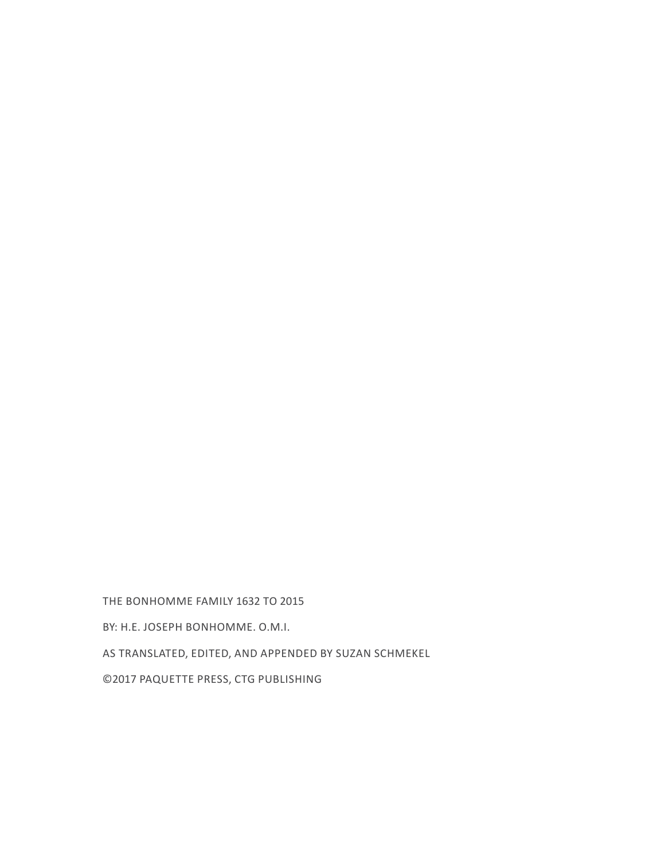THE BONHOMME FAMILY 1632 TO 2015

BY: H.E. JOSEPH BONHOMME. O.M.I.

AS TRANSLATED, EDITED, AND APPENDED BY SUZAN SCHMEKEL

©2017 PAQUETTE PRESS, CTG PUBLISHING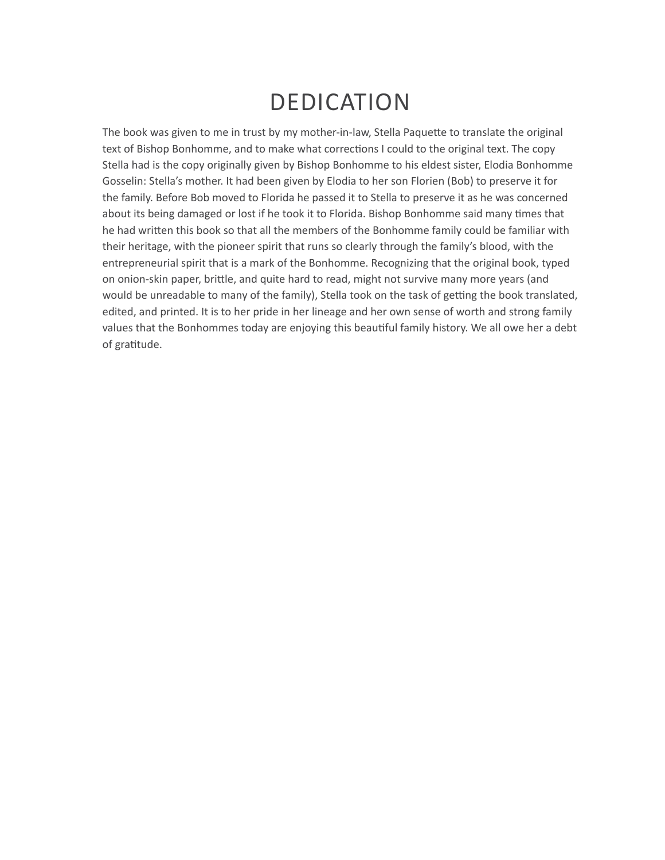## DEDICATION

The book was given to me in trust by my mother-in-law, Stella Paquette to translate the original text of Bishop Bonhomme, and to make what corrections I could to the original text. The copy Stella had is the copy originally given by Bishop Bonhomme to his eldest sister, Elodia Bonhomme Gosselin: Stella's mother. It had been given by Elodia to her son Florien (Bob) to preserve it for the family. Before Bob moved to Florida he passed it to Stella to preserve it as he was concerned about its being damaged or lost if he took it to Florida. Bishop Bonhomme said many times that he had written this book so that all the members of the Bonhomme family could be familiar with their heritage, with the pioneer spirit that runs so clearly through the family's blood, with the entrepreneurial spirit that is a mark of the Bonhomme. Recognizing that the original book, typed on onion-skin paper, brittle, and quite hard to read, might not survive many more years (and would be unreadable to many of the family), Stella took on the task of getting the book translated, edited, and printed. It is to her pride in her lineage and her own sense of worth and strong family values that the Bonhommes today are enjoying this beautiful family history. We all owe her a debt of gratitude.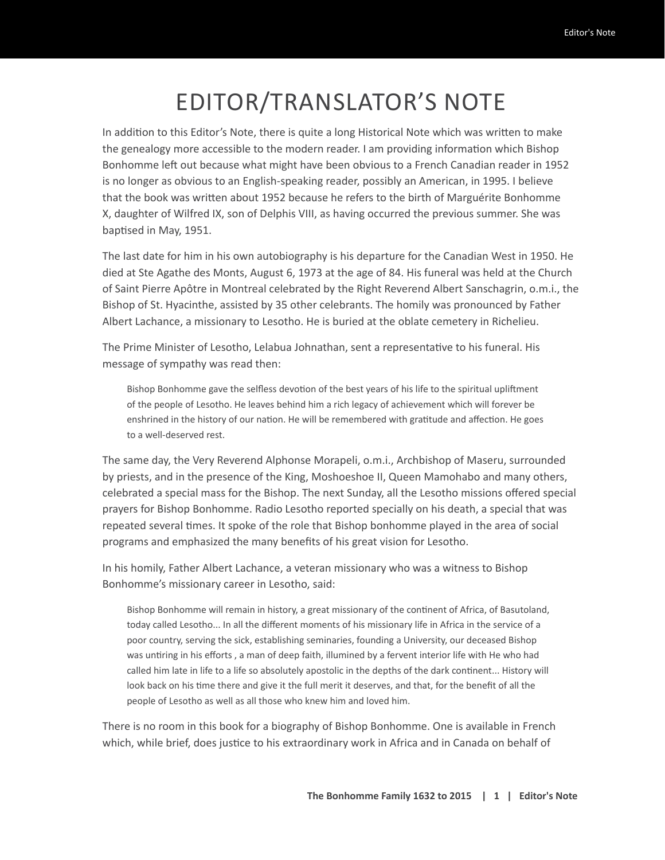# EDITOR/TRANSLATOR'S NOTE

In addition to this Editor's Note, there is quite a long Historical Note which was written to make the genealogy more accessible to the modern reader. I am providing information which Bishop Bonhomme left out because what might have been obvious to a French Canadian reader in 1952 is no longer as obvious to an English-speaking reader, possibly an American, in 1995. I believe that the book was written about 1952 because he refers to the birth of Marguérite Bonhomme X, daughter of Wilfred IX, son of Delphis VIII, as having occurred the previous summer. She was baptised in May, 1951.

The last date for him in his own autobiography is his departure for the Canadian West in 1950. He died at Ste Agathe des Monts, August 6, 1973 at the age of 84. His funeral was held at the Church of Saint Pierre Apôtre in Montreal celebrated by the Right Reverend Albert Sanschagrin, o.m.i., the Bishop of St. Hyacinthe, assisted by 35 other celebrants. The homily was pronounced by Father Albert Lachance, a missionary to Lesotho. He is buried at the oblate cemetery in Richelieu.

The Prime Minister of Lesotho, Lelabua Johnathan, sent a representative to his funeral. His message of sympathy was read then:

Bishop Bonhomme gave the selfless devotion of the best years of his life to the spiritual upliftment of the people of Lesotho. He leaves behind him a rich legacy of achievement which will forever be enshrined in the history of our nation. He will be remembered with gratitude and affection. He goes to a well-deserved rest.

The same day, the Very Reverend Alphonse Morapeli, o.m.i., Archbishop of Maseru, surrounded by priests, and in the presence of the King, Moshoeshoe II, Queen Mamohabo and many others, celebrated a special mass for the Bishop. The next Sunday, all the Lesotho missions offered special prayers for Bishop Bonhomme. Radio Lesotho reported specially on his death, a special that was repeated several times. It spoke of the role that Bishop bonhomme played in the area of social programs and emphasized the many benefits of his great vision for Lesotho.

In his homily, Father Albert Lachance, a veteran missionary who was a witness to Bishop Bonhomme's missionary career in Lesotho, said:

Bishop Bonhomme will remain in history, a great missionary of the continent of Africa, of Basutoland, today called Lesotho... In all the different moments of his missionary life in Africa in the service of a poor country, serving the sick, establishing seminaries, founding a University, our deceased Bishop was untiring in his efforts , a man of deep faith, illumined by a fervent interior life with He who had called him late in life to a life so absolutely apostolic in the depths of the dark continent... History will look back on his time there and give it the full merit it deserves, and that, for the benefit of all the people of Lesotho as well as all those who knew him and loved him.

There is no room in this book for a biography of Bishop Bonhomme. One is available in French which, while brief, does justice to his extraordinary work in Africa and in Canada on behalf of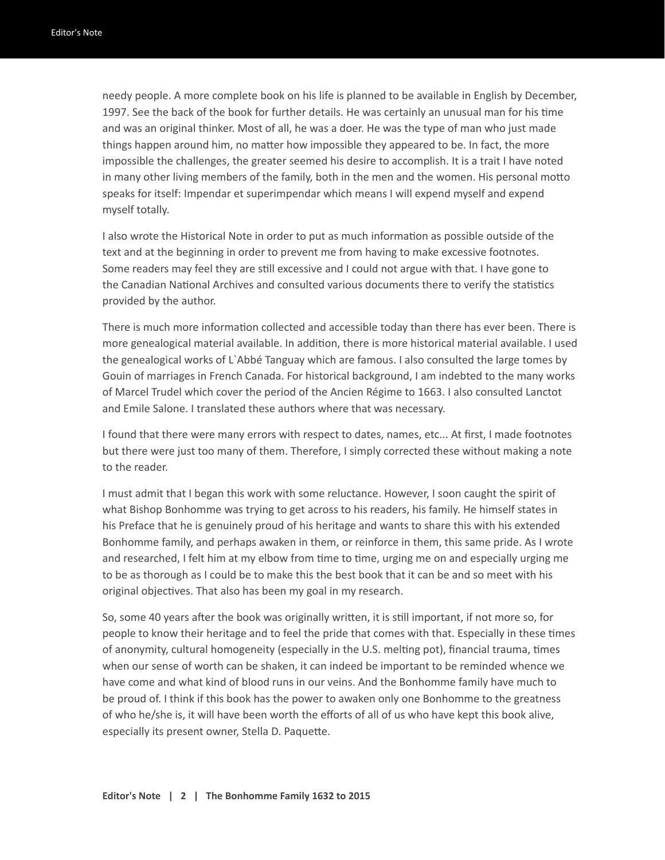needy people. A more complete book on his life is planned to be available in English by December, 1997. See the back of the book for further details. He was certainly an unusual man for his time and was an original thinker. Most of all, he was a doer. He was the type of man who just made things happen around him, no matter how impossible they appeared to be. In fact, the more impossible the challenges, the greater seemed his desire to accomplish. It is a trait I have noted in many other living members of the family, both in the men and the women. His personal motto speaks for itself: Impendar et superimpendar which means I will expend myself and expend myself totally.

I also wrote the Historical Note in order to put as much information as possible outside of the text and at the beginning in order to prevent me from having to make excessive footnotes. Some readers may feel they are still excessive and I could not argue with that. I have gone to the Canadian National Archives and consulted various documents there to verify the statistics provided by the author.

There is much more information collected and accessible today than there has ever been. There is more genealogical material available. In addition, there is more historical material available. I used the genealogical works of L`Abbé Tanguay which are famous. I also consulted the large tomes by Gouin of marriages in French Canada. For historical background, I am indebted to the many works of Marcel Trudel which cover the period of the Ancien Régime to 1663. I also consulted Lanctot and Emile Salone. I translated these authors where that was necessary.

I found that there were many errors with respect to dates, names, etc... At first, I made footnotes but there were just too many of them. Therefore, I simply corrected these without making a note to the reader.

I must admit that I began this work with some reluctance. However, I soon caught the spirit of what Bishop Bonhomme was trying to get across to his readers, his family. He himself states in his Preface that he is genuinely proud of his heritage and wants to share this with his extended Bonhomme family, and perhaps awaken in them, or reinforce in them, this same pride. As I wrote and researched, I felt him at my elbow from time to time, urging me on and especially urging me to be as thorough as I could be to make this the best book that it can be and so meet with his original objectives. That also has been my goal in my research.

So, some 40 years after the book was originally written, it is still important, if not more so, for people to know their heritage and to feel the pride that comes with that. Especially in these times of anonymity, cultural homogeneity (especially in the U.S. melting pot), financial trauma, times when our sense of worth can be shaken, it can indeed be important to be reminded whence we have come and what kind of blood runs in our veins. And the Bonhomme family have much to be proud of. I think if this book has the power to awaken only one Bonhomme to the greatness of who he/she is, it will have been worth the efforts of all of us who have kept this book alive, especially its present owner, Stella D. Paquette.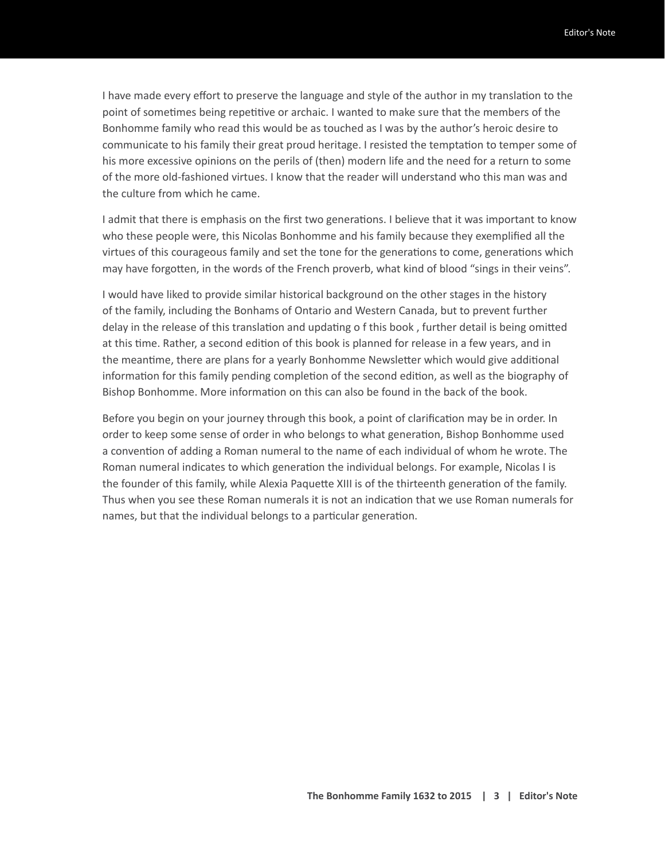I have made every effort to preserve the language and style of the author in my translation to the point of sometimes being repetitive or archaic. I wanted to make sure that the members of the Bonhomme family who read this would be as touched as I was by the author's heroic desire to communicate to his family their great proud heritage. I resisted the temptation to temper some of his more excessive opinions on the perils of (then) modern life and the need for a return to some of the more old-fashioned virtues. I know that the reader will understand who this man was and the culture from which he came.

I admit that there is emphasis on the first two generations. I believe that it was important to know who these people were, this Nicolas Bonhomme and his family because they exemplified all the virtues of this courageous family and set the tone for the generations to come, generations which may have forgotten, in the words of the French proverb, what kind of blood "sings in their veins".

I would have liked to provide similar historical background on the other stages in the history of the family, including the Bonhams of Ontario and Western Canada, but to prevent further delay in the release of this translation and updating o f this book , further detail is being omitted at this time. Rather, a second edition of this book is planned for release in a few years, and in the meantime, there are plans for a yearly Bonhomme Newsletter which would give additional information for this family pending completion of the second edition, as well as the biography of Bishop Bonhomme. More information on this can also be found in the back of the book.

Before you begin on your journey through this book, a point of clarification may be in order. In order to keep some sense of order in who belongs to what generation, Bishop Bonhomme used a convention of adding a Roman numeral to the name of each individual of whom he wrote. The Roman numeral indicates to which generation the individual belongs. For example, Nicolas I is the founder of this family, while Alexia Paquette XIII is of the thirteenth generation of the family. Thus when you see these Roman numerals it is not an indication that we use Roman numerals for names, but that the individual belongs to a particular generation.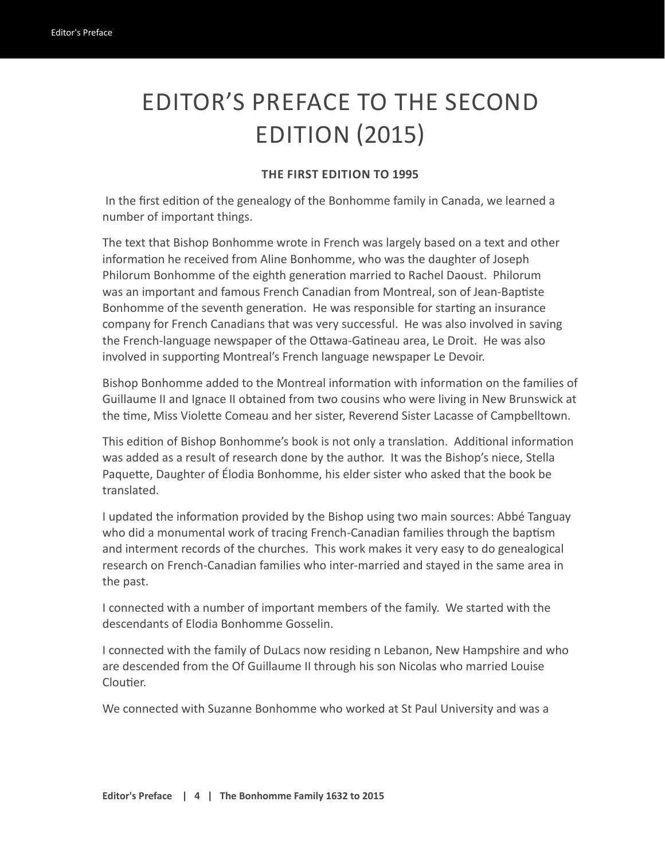# EDITOR'S PREFACE TO THE SECOND EDITION (2015)

#### **THE FIRST EDITION TO 1995**

 In the first edition of the genealogy of the Bonhomme family in Canada, we learned a number of important things.

The text that Bishop Bonhomme wrote in French was largely based on a text and other information he received from Aline Bonhomme, who was the daughter of Joseph Philorum Bonhomme of the eighth generation married to Rachel Daoust. Philorum was an important and famous French Canadian from Montreal, son of Jean-Baptiste Bonhomme of the seventh generation. He was responsible for starting an insurance company for French Canadians that was very successful. He was also involved in saving the French-language newspaper of the Ottawa-Gatineau area, Le Droit. He was also involved in supporting Montreal's French language newspaper Le Devoir.

Bishop Bonhomme added to the Montreal information with information on the families of Guillaume II and Ignace II obtained from two cousins who were living in New Brunswick at the time, Miss Violette Comeau and her sister, Reverend Sister Lacasse of Campbelltown.

This edition of Bishop Bonhomme's book is not only a translation. Additional information was added as a result of research done by the author. It was the Bishop's niece, Stella Paquette, Daughter of Élodia Bonhomme, his elder sister who asked that the book be translated.

I updated the information provided by the Bishop using two main sources: Abbé Tanguay who did a monumental work of tracing French-Canadian families through the baptism and interment records of the churches. This work makes it very easy to do genealogical research on French-Canadian families who inter-married and stayed in the same area in the past.

I connected with a number of important members of the family. We started with the descendants of Elodia Bonhomme Gosselin.

I connected with the family of DuLacs now residing n Lebanon, New Hampshire and who are descended from the Of Guillaume II through his son Nicolas who married Louise Cloutier.

We connected with Suzanne Bonhomme who worked at St Paul University and was a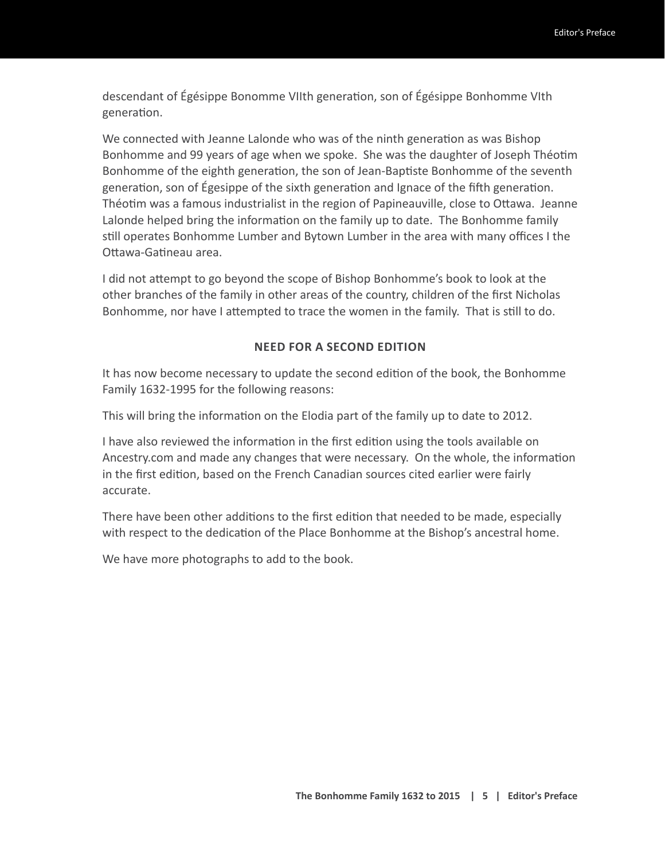descendant of Égésippe Bonomme VIIth generation, son of Égésippe Bonhomme VIth generation.

We connected with Jeanne Lalonde who was of the ninth generation as was Bishop Bonhomme and 99 years of age when we spoke. She was the daughter of Joseph Théotim Bonhomme of the eighth generation, the son of Jean-Baptiste Bonhomme of the seventh generation, son of Égesippe of the sixth generation and Ignace of the fifth generation. Théotim was a famous industrialist in the region of Papineauville, close to Ottawa. Jeanne Lalonde helped bring the information on the family up to date. The Bonhomme family still operates Bonhomme Lumber and Bytown Lumber in the area with many offices I the Ottawa-Gatineau area.

I did not attempt to go beyond the scope of Bishop Bonhomme's book to look at the other branches of the family in other areas of the country, children of the first Nicholas Bonhomme, nor have I attempted to trace the women in the family. That is still to do.

#### **NEED FOR A SECOND EDITION**

It has now become necessary to update the second edition of the book, the Bonhomme Family 1632-1995 for the following reasons:

This will bring the information on the Elodia part of the family up to date to 2012.

I have also reviewed the information in the first edition using the tools available on Ancestry.com and made any changes that were necessary. On the whole, the information in the first edition, based on the French Canadian sources cited earlier were fairly accurate.

There have been other additions to the first edition that needed to be made, especially with respect to the dedication of the Place Bonhomme at the Bishop's ancestral home.

We have more photographs to add to the book.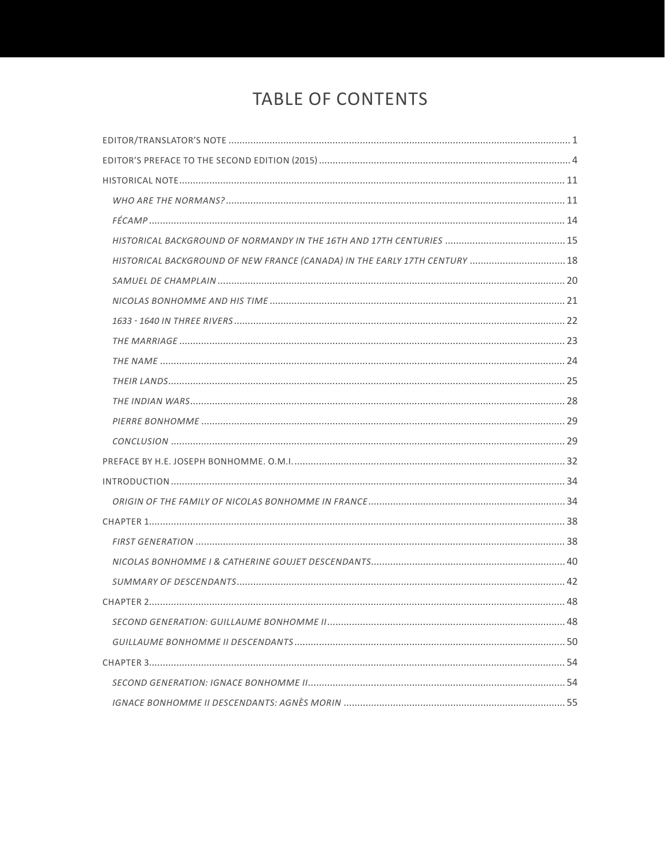## TABLE OF CONTENTS

| HISTORICAL BACKGROUND OF NEW FRANCE (CANADA) IN THE EARLY 17TH CENTURY  18 |  |
|----------------------------------------------------------------------------|--|
|                                                                            |  |
|                                                                            |  |
|                                                                            |  |
|                                                                            |  |
|                                                                            |  |
|                                                                            |  |
|                                                                            |  |
|                                                                            |  |
|                                                                            |  |
|                                                                            |  |
|                                                                            |  |
|                                                                            |  |
|                                                                            |  |
|                                                                            |  |
|                                                                            |  |
|                                                                            |  |
|                                                                            |  |
|                                                                            |  |
|                                                                            |  |
|                                                                            |  |
|                                                                            |  |
|                                                                            |  |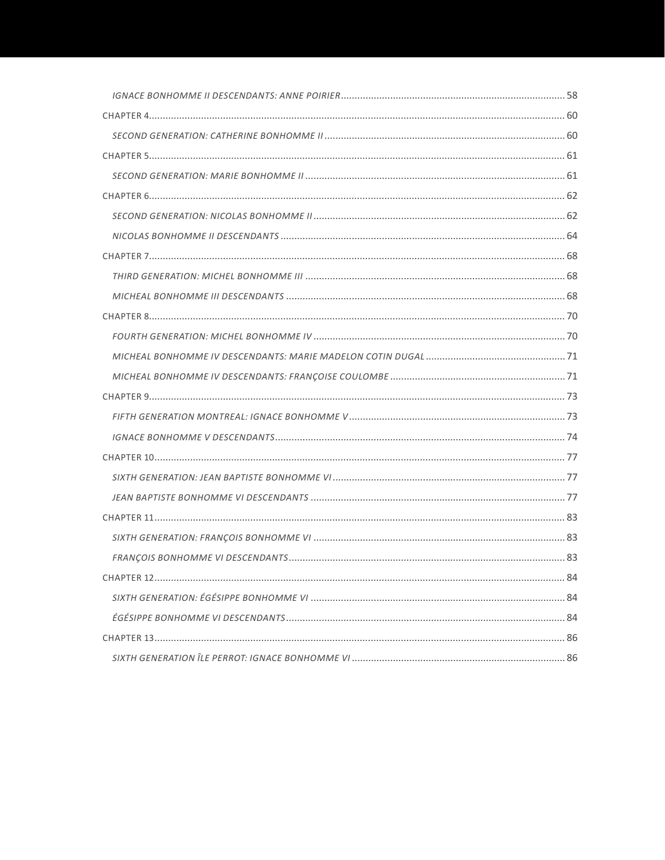| $CH\Delta$ PTFR 12 | 84 |
|--------------------|----|
|                    |    |
|                    |    |
|                    |    |
|                    |    |
|                    |    |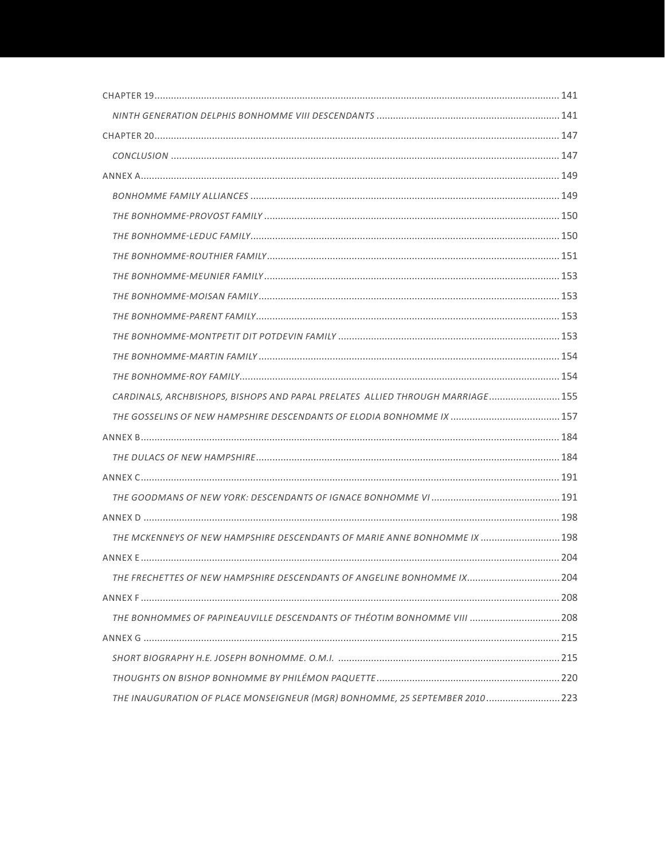| CARDINALS, ARCHBISHOPS, BISHOPS AND PAPAL PRELATES ALLIED THROUGH MARRIAGE 155 |  |
|--------------------------------------------------------------------------------|--|
|                                                                                |  |
|                                                                                |  |
|                                                                                |  |
|                                                                                |  |
|                                                                                |  |
|                                                                                |  |
| THE MCKENNEYS OF NEW HAMPSHIRE DESCENDANTS OF MARIE ANNE BONHOMME IX  198      |  |
|                                                                                |  |
| THE FRECHETTES OF NEW HAMPSHIRE DESCENDANTS OF ANGELINE BONHOMME IX 204        |  |
|                                                                                |  |
| THE BONHOMMES OF PAPINEAUVILLE DESCENDANTS OF THÉOTIM BONHOMME VIII  208       |  |
|                                                                                |  |
|                                                                                |  |
|                                                                                |  |
| THE INAUGURATION OF PLACE MONSEIGNEUR (MGR) BONHOMME, 25 SEPTEMBER 2010 223    |  |
|                                                                                |  |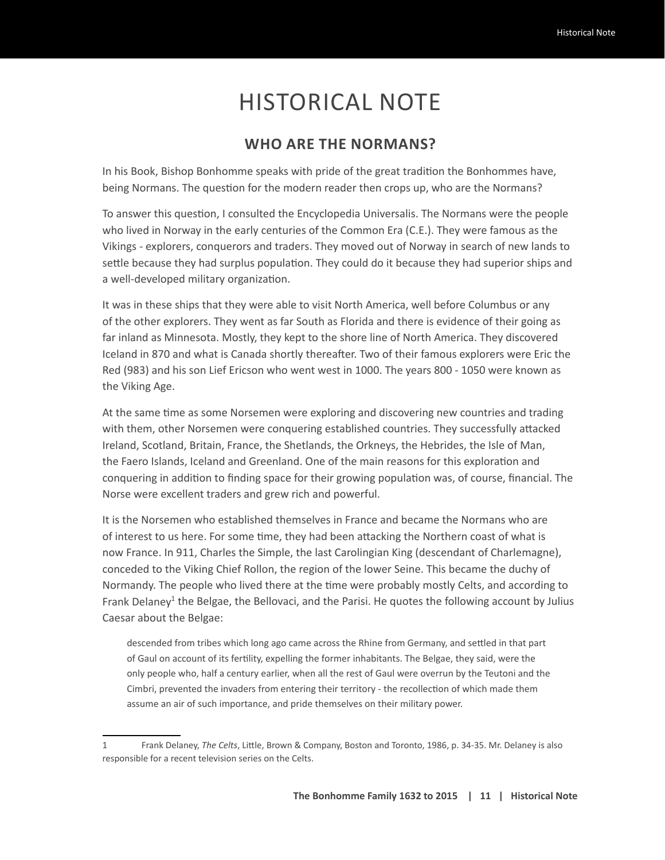# HISTORICAL NOTE

#### **WHO ARE THE NORMANS?**

In his Book, Bishop Bonhomme speaks with pride of the great tradition the Bonhommes have, being Normans. The question for the modern reader then crops up, who are the Normans?

To answer this question, I consulted the Encyclopedia Universalis. The Normans were the people who lived in Norway in the early centuries of the Common Era (C.E.). They were famous as the Vikings - explorers, conquerors and traders. They moved out of Norway in search of new lands to settle because they had surplus population. They could do it because they had superior ships and a well-developed military organization.

It was in these ships that they were able to visit North America, well before Columbus or any of the other explorers. They went as far South as Florida and there is evidence of their going as far inland as Minnesota. Mostly, they kept to the shore line of North America. They discovered Iceland in 870 and what is Canada shortly thereafter. Two of their famous explorers were Eric the Red (983) and his son Lief Ericson who went west in 1000. The years 800 - 1050 were known as the Viking Age.

At the same time as some Norsemen were exploring and discovering new countries and trading with them, other Norsemen were conquering established countries. They successfully attacked Ireland, Scotland, Britain, France, the Shetlands, the Orkneys, the Hebrides, the Isle of Man, the Faero Islands, Iceland and Greenland. One of the main reasons for this exploration and conquering in addition to finding space for their growing population was, of course, financial. The Norse were excellent traders and grew rich and powerful.

It is the Norsemen who established themselves in France and became the Normans who are of interest to us here. For some time, they had been attacking the Northern coast of what is now France. In 911, Charles the Simple, the last Carolingian King (descendant of Charlemagne), conceded to the Viking Chief Rollon, the region of the lower Seine. This became the duchy of Normandy. The people who lived there at the time were probably mostly Celts, and according to Frank Delaney<sup>1</sup> the Belgae, the Bellovaci, and the Parisi. He quotes the following account by Julius Caesar about the Belgae:

descended from tribes which long ago came across the Rhine from Germany, and settled in that part of Gaul on account of its fertility, expelling the former inhabitants. The Belgae, they said, were the only people who, half a century earlier, when all the rest of Gaul were overrun by the Teutoni and the Cimbri, prevented the invaders from entering their territory - the recollection of which made them assume an air of such importance, and pride themselves on their military power.

<sup>1</sup> Frank Delaney, *The Celts*, Little, Brown & Company, Boston and Toronto, 1986, p. 34-35. Mr. Delaney is also responsible for a recent television series on the Celts.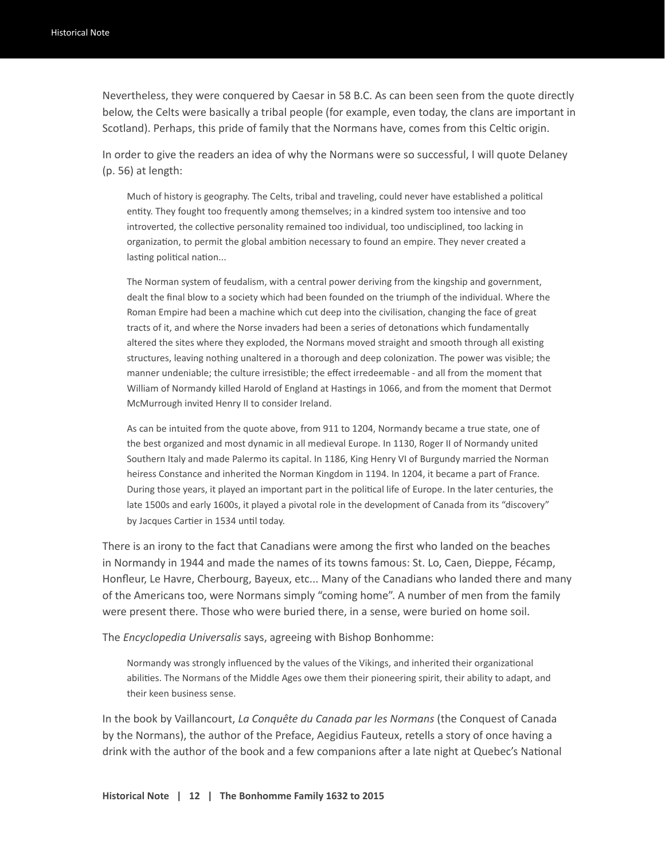Nevertheless, they were conquered by Caesar in 58 B.C. As can been seen from the quote directly below, the Celts were basically a tribal people (for example, even today, the clans are important in Scotland). Perhaps, this pride of family that the Normans have, comes from this Celtic origin.

In order to give the readers an idea of why the Normans were so successful, I will quote Delaney (p. 56) at length:

Much of history is geography. The Celts, tribal and traveling, could never have established a political entity. They fought too frequently among themselves; in a kindred system too intensive and too introverted, the collective personality remained too individual, too undisciplined, too lacking in organization, to permit the global ambition necessary to found an empire. They never created a lasting political nation...

The Norman system of feudalism, with a central power deriving from the kingship and government, dealt the final blow to a society which had been founded on the triumph of the individual. Where the Roman Empire had been a machine which cut deep into the civilisation, changing the face of great tracts of it, and where the Norse invaders had been a series of detonations which fundamentally altered the sites where they exploded, the Normans moved straight and smooth through all existing structures, leaving nothing unaltered in a thorough and deep colonization. The power was visible; the manner undeniable; the culture irresistible; the effect irredeemable - and all from the moment that William of Normandy killed Harold of England at Hastings in 1066, and from the moment that Dermot McMurrough invited Henry II to consider Ireland.

As can be intuited from the quote above, from 911 to 1204, Normandy became a true state, one of the best organized and most dynamic in all medieval Europe. In 1130, Roger II of Normandy united Southern Italy and made Palermo its capital. In 1186, King Henry VI of Burgundy married the Norman heiress Constance and inherited the Norman Kingdom in 1194. In 1204, it became a part of France. During those years, it played an important part in the political life of Europe. In the later centuries, the late 1500s and early 1600s, it played a pivotal role in the development of Canada from its "discovery" by Jacques Cartier in 1534 until today.

There is an irony to the fact that Canadians were among the first who landed on the beaches in Normandy in 1944 and made the names of its towns famous: St. Lo, Caen, Dieppe, Fécamp, Honfleur, Le Havre, Cherbourg, Bayeux, etc... Many of the Canadians who landed there and many of the Americans too, were Normans simply "coming home". A number of men from the family were present there. Those who were buried there, in a sense, were buried on home soil.

The *Encyclopedia Universalis* says, agreeing with Bishop Bonhomme:

Normandy was strongly influenced by the values of the Vikings, and inherited their organizational abilities. The Normans of the Middle Ages owe them their pioneering spirit, their ability to adapt, and their keen business sense.

In the book by Vaillancourt, *La Conquête du Canada par les Normans* (the Conquest of Canada by the Normans), the author of the Preface, Aegidius Fauteux, retells a story of once having a drink with the author of the book and a few companions after a late night at Quebec's National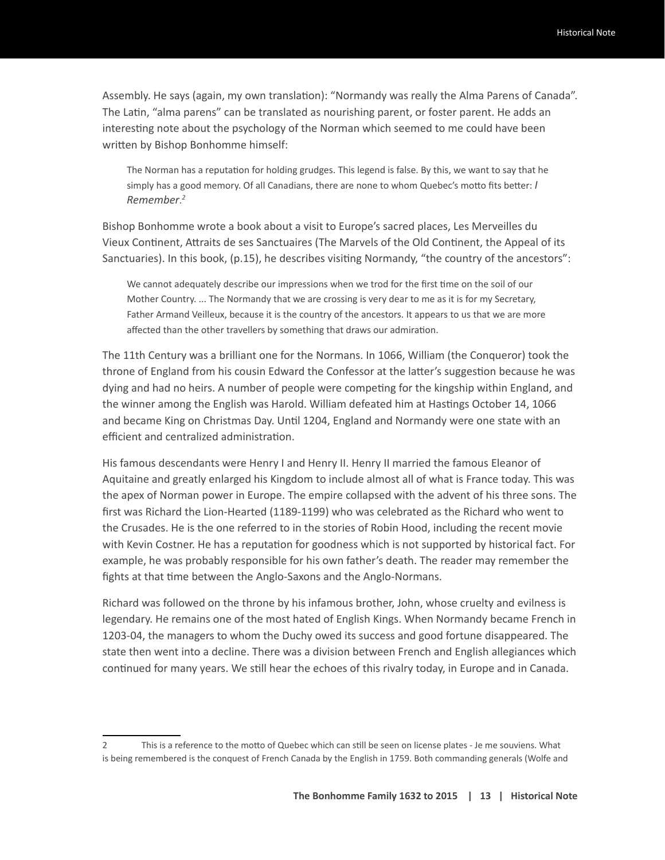Assembly. He says (again, my own translation): "Normandy was really the Alma Parens of Canada". The Latin, "alma parens" can be translated as nourishing parent, or foster parent. He adds an interesting note about the psychology of the Norman which seemed to me could have been written by Bishop Bonhomme himself:

The Norman has a reputation for holding grudges. This legend is false. By this, we want to say that he simply has a good memory. Of all Canadians, there are none to whom Quebec's motto fits better: *I Remember*. *2*

Bishop Bonhomme wrote a book about a visit to Europe's sacred places, Les Merveilles du Vieux Continent, Attraits de ses Sanctuaires (The Marvels of the Old Continent, the Appeal of its Sanctuaries). In this book, (p.15), he describes visiting Normandy, "the country of the ancestors":

We cannot adequately describe our impressions when we trod for the first time on the soil of our Mother Country. ... The Normandy that we are crossing is very dear to me as it is for my Secretary, Father Armand Veilleux, because it is the country of the ancestors. It appears to us that we are more affected than the other travellers by something that draws our admiration.

The 11th Century was a brilliant one for the Normans. In 1066, William (the Conqueror) took the throne of England from his cousin Edward the Confessor at the latter's suggestion because he was dying and had no heirs. A number of people were competing for the kingship within England, and the winner among the English was Harold. William defeated him at Hastings October 14, 1066 and became King on Christmas Day. Until 1204, England and Normandy were one state with an efficient and centralized administration.

His famous descendants were Henry I and Henry II. Henry II married the famous Eleanor of Aquitaine and greatly enlarged his Kingdom to include almost all of what is France today. This was the apex of Norman power in Europe. The empire collapsed with the advent of his three sons. The first was Richard the Lion-Hearted (1189-1199) who was celebrated as the Richard who went to the Crusades. He is the one referred to in the stories of Robin Hood, including the recent movie with Kevin Costner. He has a reputation for goodness which is not supported by historical fact. For example, he was probably responsible for his own father's death. The reader may remember the fights at that time between the Anglo-Saxons and the Anglo-Normans.

Richard was followed on the throne by his infamous brother, John, whose cruelty and evilness is legendary. He remains one of the most hated of English Kings. When Normandy became French in 1203-04, the managers to whom the Duchy owed its success and good fortune disappeared. The state then went into a decline. There was a division between French and English allegiances which continued for many years. We still hear the echoes of this rivalry today, in Europe and in Canada.

<sup>2</sup> This is a reference to the motto of Quebec which can still be seen on license plates - Je me souviens. What is being remembered is the conquest of French Canada by the English in 1759. Both commanding generals (Wolfe and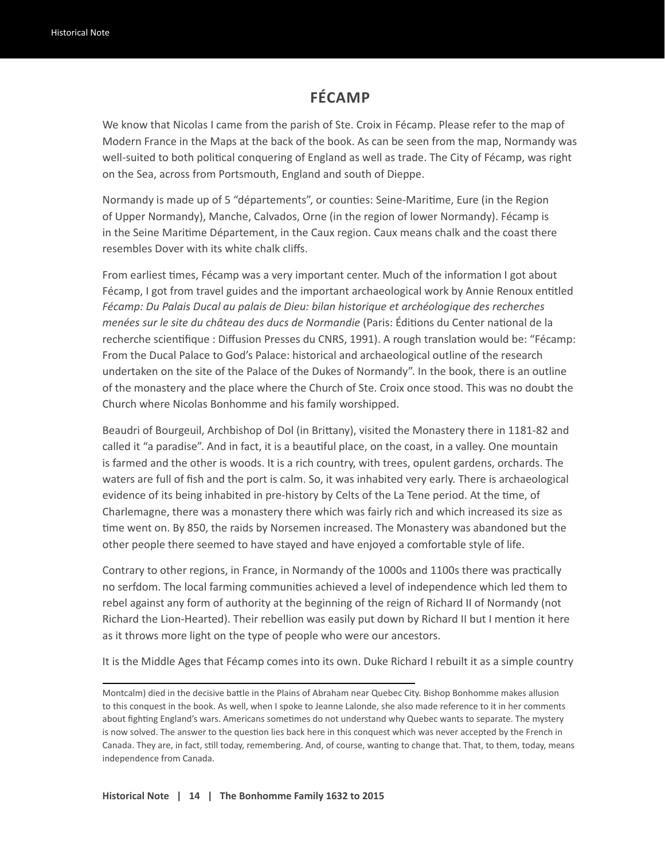#### **FÉCAMP**

We know that Nicolas I came from the parish of Ste. Croix in Fécamp. Please refer to the map of Modern France in the Maps at the back of the book. As can be seen from the map, Normandy was well-suited to both political conquering of England as well as trade. The City of Fécamp, was right on the Sea, across from Portsmouth, England and south of Dieppe.

Normandy is made up of 5 "départements", or counties: Seine-Maritime, Eure (in the Region of Upper Normandy), Manche, Calvados, Orne (in the region of lower Normandy). Fécamp is in the Seine Maritime Département, in the Caux region. Caux means chalk and the coast there resembles Dover with its white chalk cliffs.

From earliest times, Fécamp was a very important center. Much of the information I got about Fécamp, I got from travel guides and the important archaeological work by Annie Renoux entitled *Fécamp: Du Palais Ducal au palais de Dieu: bilan historique et archéologique des recherches menées sur le site du château des ducs de Normandie* (Paris: Éditions du Center national de la recherche scientifique : Diffusion Presses du CNRS, 1991). A rough translation would be: "Fécamp: From the Ducal Palace to God's Palace: historical and archaeological outline of the research undertaken on the site of the Palace of the Dukes of Normandy". In the book, there is an outline of the monastery and the place where the Church of Ste. Croix once stood. This was no doubt the Church where Nicolas Bonhomme and his family worshipped.

Beaudri of Bourgeuil, Archbishop of Dol (in Brittany), visited the Monastery there in 1181-82 and called it "a paradise". And in fact, it is a beautiful place, on the coast, in a valley. One mountain is farmed and the other is woods. It is a rich country, with trees, opulent gardens, orchards. The waters are full of fish and the port is calm. So, it was inhabited very early. There is archaeological evidence of its being inhabited in pre-history by Celts of the La Tene period. At the time, of Charlemagne, there was a monastery there which was fairly rich and which increased its size as time went on. By 850, the raids by Norsemen increased. The Monastery was abandoned but the other people there seemed to have stayed and have enjoyed a comfortable style of life.

Contrary to other regions, in France, in Normandy of the 1000s and 1100s there was practically no serfdom. The local farming communities achieved a level of independence which led them to rebel against any form of authority at the beginning of the reign of Richard II of Normandy (not Richard the Lion-Hearted). Their rebellion was easily put down by Richard II but I mention it here as it throws more light on the type of people who were our ancestors.

It is the Middle Ages that Fécamp comes into its own. Duke Richard I rebuilt it as a simple country

Montcalm) died in the decisive battle in the Plains of Abraham near Quebec City. Bishop Bonhomme makes allusion to this conquest in the book. As well, when I spoke to Jeanne Lalonde, she also made reference to it in her comments about fighting England's wars. Americans sometimes do not understand why Quebec wants to separate. The mystery is now solved. The answer to the question lies back here in this conquest which was never accepted by the French in Canada. They are, in fact, still today, remembering. And, of course, wanting to change that. That, to them, today, means independence from Canada.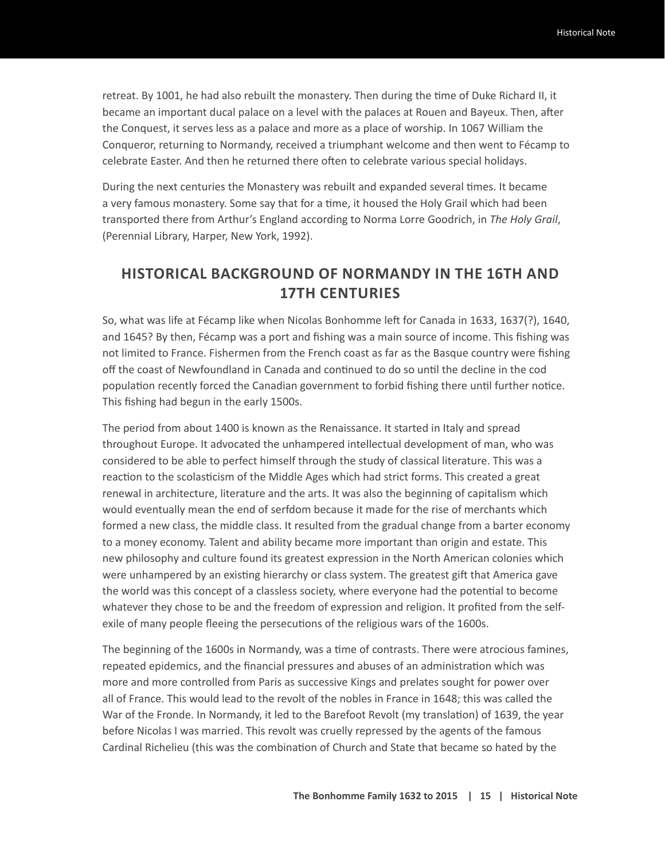retreat. By 1001, he had also rebuilt the monastery. Then during the time of Duke Richard II, it became an important ducal palace on a level with the palaces at Rouen and Bayeux. Then, after the Conquest, it serves less as a palace and more as a place of worship. In 1067 William the Conqueror, returning to Normandy, received a triumphant welcome and then went to Fécamp to celebrate Easter. And then he returned there often to celebrate various special holidays.

During the next centuries the Monastery was rebuilt and expanded several times. It became a very famous monastery. Some say that for a time, it housed the Holy Grail which had been transported there from Arthur's England according to Norma Lorre Goodrich, in *The Holy Grail*, (Perennial Library, Harper, New York, 1992).

#### **HISTORICAL BACKGROUND OF NORMANDY IN THE 16TH AND 17TH CENTURIES**

So, what was life at Fécamp like when Nicolas Bonhomme left for Canada in 1633, 1637(?), 1640, and 1645? By then, Fécamp was a port and fishing was a main source of income. This fishing was not limited to France. Fishermen from the French coast as far as the Basque country were fishing off the coast of Newfoundland in Canada and continued to do so until the decline in the cod population recently forced the Canadian government to forbid fishing there until further notice. This fishing had begun in the early 1500s.

The period from about 1400 is known as the Renaissance. It started in Italy and spread throughout Europe. It advocated the unhampered intellectual development of man, who was considered to be able to perfect himself through the study of classical literature. This was a reaction to the scolasticism of the Middle Ages which had strict forms. This created a great renewal in architecture, literature and the arts. It was also the beginning of capitalism which would eventually mean the end of serfdom because it made for the rise of merchants which formed a new class, the middle class. It resulted from the gradual change from a barter economy to a money economy. Talent and ability became more important than origin and estate. This new philosophy and culture found its greatest expression in the North American colonies which were unhampered by an existing hierarchy or class system. The greatest gift that America gave the world was this concept of a classless society, where everyone had the potential to become whatever they chose to be and the freedom of expression and religion. It profited from the selfexile of many people fleeing the persecutions of the religious wars of the 1600s.

The beginning of the 1600s in Normandy, was a time of contrasts. There were atrocious famines, repeated epidemics, and the financial pressures and abuses of an administration which was more and more controlled from Paris as successive Kings and prelates sought for power over all of France. This would lead to the revolt of the nobles in France in 1648; this was called the War of the Fronde. In Normandy, it led to the Barefoot Revolt (my translation) of 1639, the year before Nicolas I was married. This revolt was cruelly repressed by the agents of the famous Cardinal Richelieu (this was the combination of Church and State that became so hated by the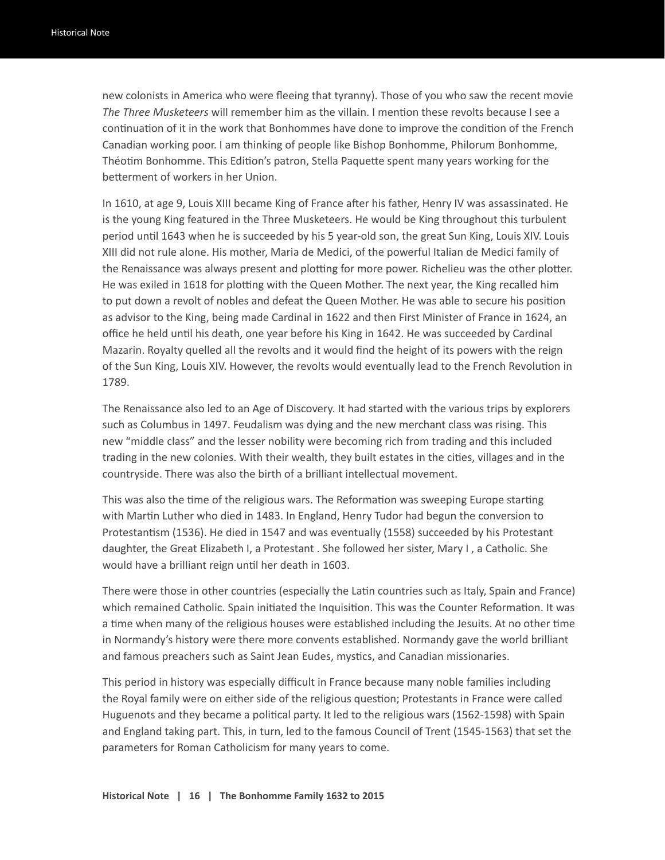new colonists in America who were fleeing that tyranny). Those of you who saw the recent movie *The Three Musketeers* will remember him as the villain. I mention these revolts because I see a continuation of it in the work that Bonhommes have done to improve the condition of the French Canadian working poor. I am thinking of people like Bishop Bonhomme, Philorum Bonhomme, Théotim Bonhomme. This Edition's patron, Stella Paquette spent many years working for the betterment of workers in her Union.

In 1610, at age 9, Louis XIII became King of France after his father, Henry IV was assassinated. He is the young King featured in the Three Musketeers. He would be King throughout this turbulent period until 1643 when he is succeeded by his 5 year-old son, the great Sun King, Louis XIV. Louis XIII did not rule alone. His mother, Maria de Medici, of the powerful Italian de Medici family of the Renaissance was always present and plotting for more power. Richelieu was the other plotter. He was exiled in 1618 for plotting with the Queen Mother. The next year, the King recalled him to put down a revolt of nobles and defeat the Queen Mother. He was able to secure his position as advisor to the King, being made Cardinal in 1622 and then First Minister of France in 1624, an office he held until his death, one year before his King in 1642. He was succeeded by Cardinal Mazarin. Royalty quelled all the revolts and it would find the height of its powers with the reign of the Sun King, Louis XIV. However, the revolts would eventually lead to the French Revolution in 1789.

The Renaissance also led to an Age of Discovery. It had started with the various trips by explorers such as Columbus in 1497. Feudalism was dying and the new merchant class was rising. This new "middle class" and the lesser nobility were becoming rich from trading and this included trading in the new colonies. With their wealth, they built estates in the cities, villages and in the countryside. There was also the birth of a brilliant intellectual movement.

This was also the time of the religious wars. The Reformation was sweeping Europe starting with Martin Luther who died in 1483. In England, Henry Tudor had begun the conversion to Protestantism (1536). He died in 1547 and was eventually (1558) succeeded by his Protestant daughter, the Great Elizabeth I, a Protestant . She followed her sister, Mary I , a Catholic. She would have a brilliant reign until her death in 1603.

There were those in other countries (especially the Latin countries such as Italy, Spain and France) which remained Catholic. Spain initiated the Inquisition. This was the Counter Reformation. It was a time when many of the religious houses were established including the Jesuits. At no other time in Normandy's history were there more convents established. Normandy gave the world brilliant and famous preachers such as Saint Jean Eudes, mystics, and Canadian missionaries.

This period in history was especially difficult in France because many noble families including the Royal family were on either side of the religious question; Protestants in France were called Huguenots and they became a political party. It led to the religious wars (1562-1598) with Spain and England taking part. This, in turn, led to the famous Council of Trent (1545-1563) that set the parameters for Roman Catholicism for many years to come.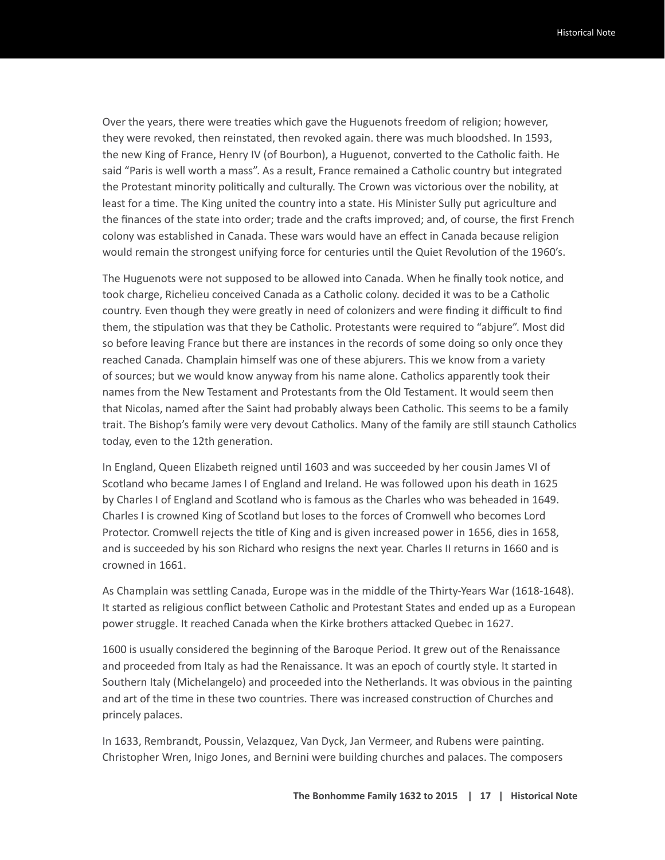Over the years, there were treaties which gave the Huguenots freedom of religion; however, they were revoked, then reinstated, then revoked again. there was much bloodshed. In 1593, the new King of France, Henry IV (of Bourbon), a Huguenot, converted to the Catholic faith. He said "Paris is well worth a mass". As a result, France remained a Catholic country but integrated the Protestant minority politically and culturally. The Crown was victorious over the nobility, at least for a time. The King united the country into a state. His Minister Sully put agriculture and the finances of the state into order; trade and the crafts improved; and, of course, the first French colony was established in Canada. These wars would have an effect in Canada because religion would remain the strongest unifying force for centuries until the Quiet Revolution of the 1960's.

The Huguenots were not supposed to be allowed into Canada. When he finally took notice, and took charge, Richelieu conceived Canada as a Catholic colony. decided it was to be a Catholic country. Even though they were greatly in need of colonizers and were finding it difficult to find them, the stipulation was that they be Catholic. Protestants were required to "abjure". Most did so before leaving France but there are instances in the records of some doing so only once they reached Canada. Champlain himself was one of these abjurers. This we know from a variety of sources; but we would know anyway from his name alone. Catholics apparently took their names from the New Testament and Protestants from the Old Testament. It would seem then that Nicolas, named after the Saint had probably always been Catholic. This seems to be a family trait. The Bishop's family were very devout Catholics. Many of the family are still staunch Catholics today, even to the 12th generation.

In England, Queen Elizabeth reigned until 1603 and was succeeded by her cousin James VI of Scotland who became James I of England and Ireland. He was followed upon his death in 1625 by Charles I of England and Scotland who is famous as the Charles who was beheaded in 1649. Charles I is crowned King of Scotland but loses to the forces of Cromwell who becomes Lord Protector. Cromwell rejects the title of King and is given increased power in 1656, dies in 1658, and is succeeded by his son Richard who resigns the next year. Charles II returns in 1660 and is crowned in 1661.

As Champlain was settling Canada, Europe was in the middle of the Thirty-Years War (1618-1648). It started as religious conflict between Catholic and Protestant States and ended up as a European power struggle. It reached Canada when the Kirke brothers attacked Quebec in 1627.

1600 is usually considered the beginning of the Baroque Period. It grew out of the Renaissance and proceeded from Italy as had the Renaissance. It was an epoch of courtly style. It started in Southern Italy (Michelangelo) and proceeded into the Netherlands. It was obvious in the painting and art of the time in these two countries. There was increased construction of Churches and princely palaces.

In 1633, Rembrandt, Poussin, Velazquez, Van Dyck, Jan Vermeer, and Rubens were painting. Christopher Wren, Inigo Jones, and Bernini were building churches and palaces. The composers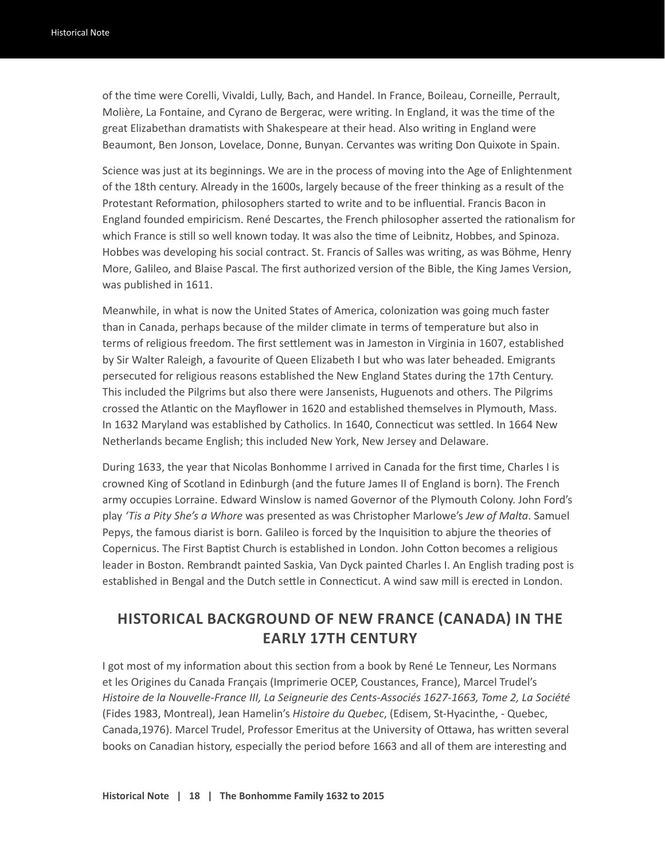of the time were Corelli, Vivaldi, Lully, Bach, and Handel. In France, Boileau, Corneille, Perrault, Molière, La Fontaine, and Cyrano de Bergerac, were writing. In England, it was the time of the great Elizabethan dramatists with Shakespeare at their head. Also writing in England were Beaumont, Ben Jonson, Lovelace, Donne, Bunyan. Cervantes was writing Don Quixote in Spain.

Science was just at its beginnings. We are in the process of moving into the Age of Enlightenment of the 18th century. Already in the 1600s, largely because of the freer thinking as a result of the Protestant Reformation, philosophers started to write and to be influential. Francis Bacon in England founded empiricism. René Descartes, the French philosopher asserted the rationalism for which France is still so well known today. It was also the time of Leibnitz, Hobbes, and Spinoza. Hobbes was developing his social contract. St. Francis of Salles was writing, as was Böhme, Henry More, Galileo, and Blaise Pascal. The first authorized version of the Bible, the King James Version, was published in 1611.

Meanwhile, in what is now the United States of America, colonization was going much faster than in Canada, perhaps because of the milder climate in terms of temperature but also in terms of religious freedom. The first settlement was in Jameston in Virginia in 1607, established by Sir Walter Raleigh, a favourite of Queen Elizabeth I but who was later beheaded. Emigrants persecuted for religious reasons established the New England States during the 17th Century. This included the Pilgrims but also there were Jansenists, Huguenots and others. The Pilgrims crossed the Atlantic on the Mayflower in 1620 and established themselves in Plymouth, Mass. In 1632 Maryland was established by Catholics. In 1640, Connecticut was settled. In 1664 New Netherlands became English; this included New York, New Jersey and Delaware.

During 1633, the year that Nicolas Bonhomme I arrived in Canada for the first time, Charles I is crowned King of Scotland in Edinburgh (and the future James II of England is born). The French army occupies Lorraine. Edward Winslow is named Governor of the Plymouth Colony. John Ford's play *'Tis a Pity She's a Whore* was presented as was Christopher Marlowe's *Jew of Malta*. Samuel Pepys, the famous diarist is born. Galileo is forced by the Inquisition to abjure the theories of Copernicus. The First Baptist Church is established in London. John Cotton becomes a religious leader in Boston. Rembrandt painted Saskia, Van Dyck painted Charles I. An English trading post is established in Bengal and the Dutch settle in Connecticut. A wind saw mill is erected in London.

#### **HISTORICAL BACKGROUND OF NEW FRANCE (CANADA) IN THE EARLY 17TH CENTURY**

I got most of my information about this section from a book by René Le Tenneur, Les Normans et les Origines du Canada Français (Imprimerie OCEP, Coustances, France), Marcel Trudel's *Histoire de la Nouvelle-France III, La Seigneurie des Cents-Associés 1627-1663, Tome 2, La Société*  (Fides 1983, Montreal), Jean Hamelin's *Histoire du Quebec*, (Edisem, St-Hyacinthe, - Quebec, Canada,1976). Marcel Trudel, Professor Emeritus at the University of Ottawa, has written several books on Canadian history, especially the period before 1663 and all of them are interesting and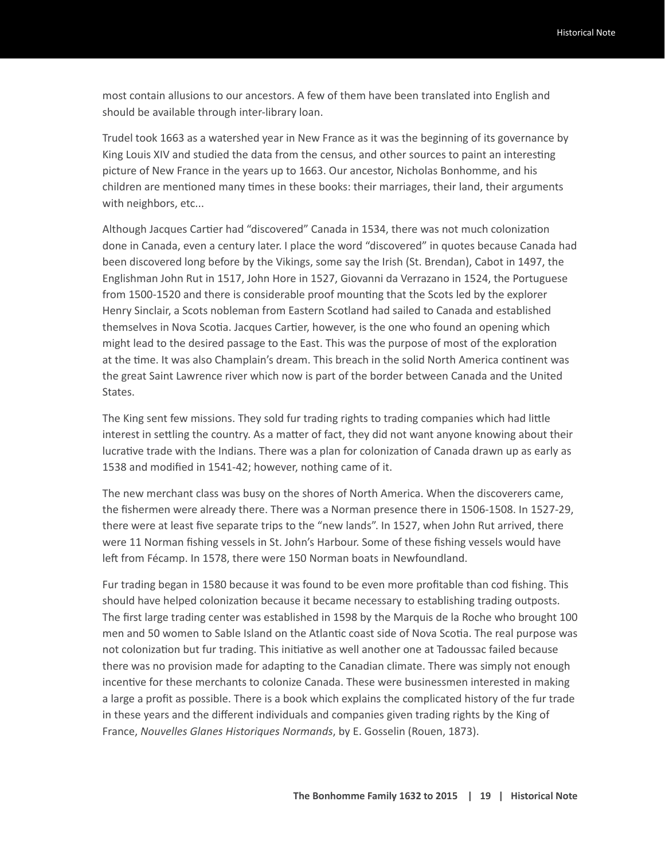most contain allusions to our ancestors. A few of them have been translated into English and should be available through inter-library loan.

Trudel took 1663 as a watershed year in New France as it was the beginning of its governance by King Louis XIV and studied the data from the census, and other sources to paint an interesting picture of New France in the years up to 1663. Our ancestor, Nicholas Bonhomme, and his children are mentioned many times in these books: their marriages, their land, their arguments with neighbors, etc...

Although Jacques Cartier had "discovered" Canada in 1534, there was not much colonization done in Canada, even a century later. I place the word "discovered" in quotes because Canada had been discovered long before by the Vikings, some say the Irish (St. Brendan), Cabot in 1497, the Englishman John Rut in 1517, John Hore in 1527, Giovanni da Verrazano in 1524, the Portuguese from 1500-1520 and there is considerable proof mounting that the Scots led by the explorer Henry Sinclair, a Scots nobleman from Eastern Scotland had sailed to Canada and established themselves in Nova Scotia. Jacques Cartier, however, is the one who found an opening which might lead to the desired passage to the East. This was the purpose of most of the exploration at the time. It was also Champlain's dream. This breach in the solid North America continent was the great Saint Lawrence river which now is part of the border between Canada and the United States.

The King sent few missions. They sold fur trading rights to trading companies which had little interest in settling the country. As a matter of fact, they did not want anyone knowing about their lucrative trade with the Indians. There was a plan for colonization of Canada drawn up as early as 1538 and modified in 1541-42; however, nothing came of it.

The new merchant class was busy on the shores of North America. When the discoverers came, the fishermen were already there. There was a Norman presence there in 1506-1508. In 1527-29, there were at least five separate trips to the "new lands". In 1527, when John Rut arrived, there were 11 Norman fishing vessels in St. John's Harbour. Some of these fishing vessels would have left from Fécamp. In 1578, there were 150 Norman boats in Newfoundland.

Fur trading began in 1580 because it was found to be even more profitable than cod fishing. This should have helped colonization because it became necessary to establishing trading outposts. The first large trading center was established in 1598 by the Marquis de la Roche who brought 100 men and 50 women to Sable Island on the Atlantic coast side of Nova Scotia. The real purpose was not colonization but fur trading. This initiative as well another one at Tadoussac failed because there was no provision made for adapting to the Canadian climate. There was simply not enough incentive for these merchants to colonize Canada. These were businessmen interested in making a large a profit as possible. There is a book which explains the complicated history of the fur trade in these years and the different individuals and companies given trading rights by the King of France, *Nouvelles Glanes Historiques Normands*, by E. Gosselin (Rouen, 1873).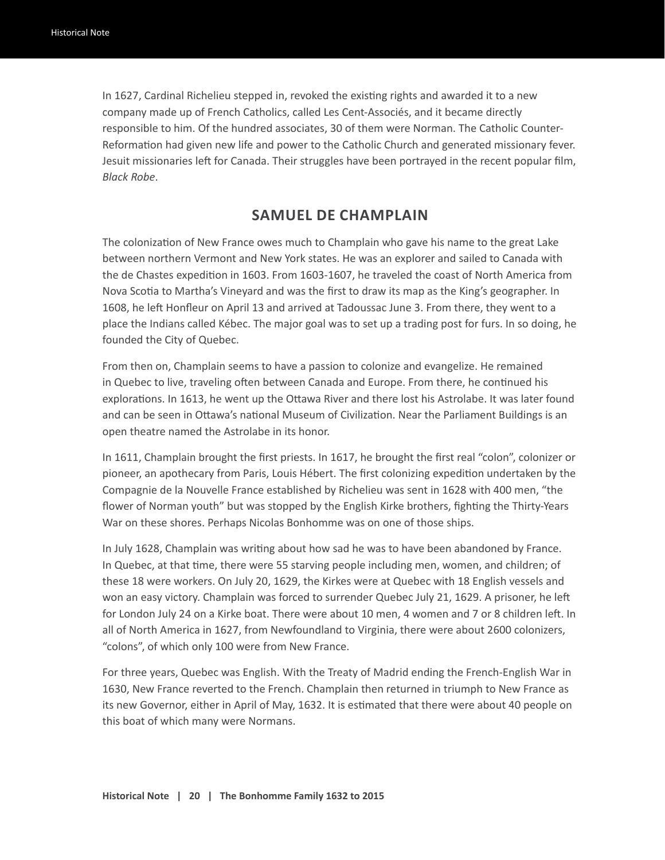In 1627, Cardinal Richelieu stepped in, revoked the existing rights and awarded it to a new company made up of French Catholics, called Les Cent-Associés, and it became directly responsible to him. Of the hundred associates, 30 of them were Norman. The Catholic Counter-Reformation had given new life and power to the Catholic Church and generated missionary fever. Jesuit missionaries left for Canada. Their struggles have been portrayed in the recent popular film, *Black Robe*.

#### **SAMUEL DE CHAMPLAIN**

The colonization of New France owes much to Champlain who gave his name to the great Lake between northern Vermont and New York states. He was an explorer and sailed to Canada with the de Chastes expedition in 1603. From 1603-1607, he traveled the coast of North America from Nova Scotia to Martha's Vineyard and was the first to draw its map as the King's geographer. In 1608, he left Honfleur on April 13 and arrived at Tadoussac June 3. From there, they went to a place the Indians called Kébec. The major goal was to set up a trading post for furs. In so doing, he founded the City of Quebec.

From then on, Champlain seems to have a passion to colonize and evangelize. He remained in Quebec to live, traveling often between Canada and Europe. From there, he continued his explorations. In 1613, he went up the Ottawa River and there lost his Astrolabe. It was later found and can be seen in Ottawa's national Museum of Civilization. Near the Parliament Buildings is an open theatre named the Astrolabe in its honor.

In 1611, Champlain brought the first priests. In 1617, he brought the first real "colon", colonizer or pioneer, an apothecary from Paris, Louis Hébert. The first colonizing expedition undertaken by the Compagnie de la Nouvelle France established by Richelieu was sent in 1628 with 400 men, "the flower of Norman youth" but was stopped by the English Kirke brothers, fighting the Thirty-Years War on these shores. Perhaps Nicolas Bonhomme was on one of those ships.

In July 1628, Champlain was writing about how sad he was to have been abandoned by France. In Quebec, at that time, there were 55 starving people including men, women, and children; of these 18 were workers. On July 20, 1629, the Kirkes were at Quebec with 18 English vessels and won an easy victory. Champlain was forced to surrender Quebec July 21, 1629. A prisoner, he left for London July 24 on a Kirke boat. There were about 10 men, 4 women and 7 or 8 children left. In all of North America in 1627, from Newfoundland to Virginia, there were about 2600 colonizers, "colons", of which only 100 were from New France.

For three years, Quebec was English. With the Treaty of Madrid ending the French-English War in 1630, New France reverted to the French. Champlain then returned in triumph to New France as its new Governor, either in April of May, 1632. It is estimated that there were about 40 people on this boat of which many were Normans.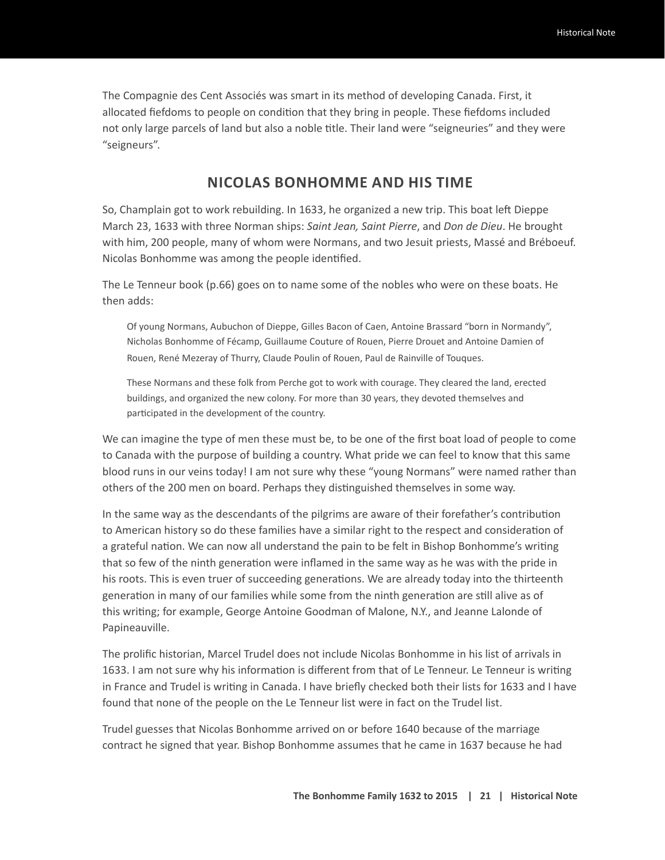The Compagnie des Cent Associés was smart in its method of developing Canada. First, it allocated fiefdoms to people on condition that they bring in people. These fiefdoms included not only large parcels of land but also a noble title. Their land were "seigneuries" and they were "seigneurs".

#### **NICOLAS BONHOMME AND HIS TIME**

So, Champlain got to work rebuilding. In 1633, he organized a new trip. This boat left Dieppe March 23, 1633 with three Norman ships: *Saint Jean, Saint Pierre*, and *Don de Dieu*. He brought with him, 200 people, many of whom were Normans, and two Jesuit priests, Massé and Bréboeuf. Nicolas Bonhomme was among the people identified.

The Le Tenneur book (p.66) goes on to name some of the nobles who were on these boats. He then adds:

Of young Normans, Aubuchon of Dieppe, Gilles Bacon of Caen, Antoine Brassard "born in Normandy", Nicholas Bonhomme of Fécamp, Guillaume Couture of Rouen, Pierre Drouet and Antoine Damien of Rouen, René Mezeray of Thurry, Claude Poulin of Rouen, Paul de Rainville of Touques.

These Normans and these folk from Perche got to work with courage. They cleared the land, erected buildings, and organized the new colony. For more than 30 years, they devoted themselves and participated in the development of the country.

We can imagine the type of men these must be, to be one of the first boat load of people to come to Canada with the purpose of building a country. What pride we can feel to know that this same blood runs in our veins today! I am not sure why these "young Normans" were named rather than others of the 200 men on board. Perhaps they distinguished themselves in some way.

In the same way as the descendants of the pilgrims are aware of their forefather's contribution to American history so do these families have a similar right to the respect and consideration of a grateful nation. We can now all understand the pain to be felt in Bishop Bonhomme's writing that so few of the ninth generation were inflamed in the same way as he was with the pride in his roots. This is even truer of succeeding generations. We are already today into the thirteenth generation in many of our families while some from the ninth generation are still alive as of this writing; for example, George Antoine Goodman of Malone, N.Y., and Jeanne Lalonde of Papineauville.

The prolific historian, Marcel Trudel does not include Nicolas Bonhomme in his list of arrivals in 1633. I am not sure why his information is different from that of Le Tenneur. Le Tenneur is writing in France and Trudel is writing in Canada. I have briefly checked both their lists for 1633 and I have found that none of the people on the Le Tenneur list were in fact on the Trudel list.

Trudel guesses that Nicolas Bonhomme arrived on or before 1640 because of the marriage contract he signed that year. Bishop Bonhomme assumes that he came in 1637 because he had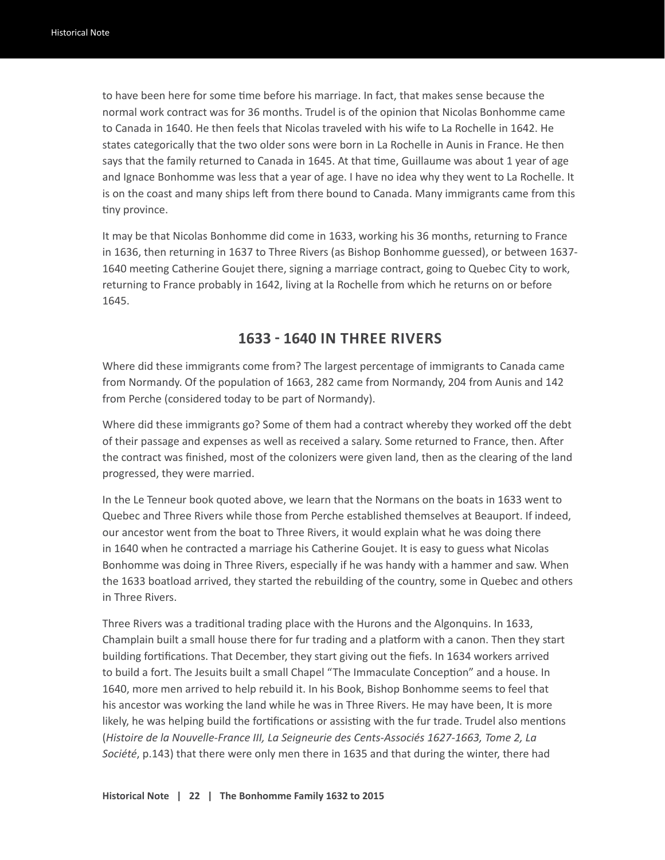to have been here for some time before his marriage. In fact, that makes sense because the normal work contract was for 36 months. Trudel is of the opinion that Nicolas Bonhomme came to Canada in 1640. He then feels that Nicolas traveled with his wife to La Rochelle in 1642. He states categorically that the two older sons were born in La Rochelle in Aunis in France. He then says that the family returned to Canada in 1645. At that time, Guillaume was about 1 year of age and Ignace Bonhomme was less that a year of age. I have no idea why they went to La Rochelle. It is on the coast and many ships left from there bound to Canada. Many immigrants came from this tiny province.

It may be that Nicolas Bonhomme did come in 1633, working his 36 months, returning to France in 1636, then returning in 1637 to Three Rivers (as Bishop Bonhomme guessed), or between 1637- 1640 meeting Catherine Goujet there, signing a marriage contract, going to Quebec City to work, returning to France probably in 1642, living at la Rochelle from which he returns on or before 1645.

#### **1633 - 1640 IN THREE RIVERS**

Where did these immigrants come from? The largest percentage of immigrants to Canada came from Normandy. Of the population of 1663, 282 came from Normandy, 204 from Aunis and 142 from Perche (considered today to be part of Normandy).

Where did these immigrants go? Some of them had a contract whereby they worked off the debt of their passage and expenses as well as received a salary. Some returned to France, then. After the contract was finished, most of the colonizers were given land, then as the clearing of the land progressed, they were married.

In the Le Tenneur book quoted above, we learn that the Normans on the boats in 1633 went to Quebec and Three Rivers while those from Perche established themselves at Beauport. If indeed, our ancestor went from the boat to Three Rivers, it would explain what he was doing there in 1640 when he contracted a marriage his Catherine Goujet. It is easy to guess what Nicolas Bonhomme was doing in Three Rivers, especially if he was handy with a hammer and saw. When the 1633 boatload arrived, they started the rebuilding of the country, some in Quebec and others in Three Rivers.

Three Rivers was a traditional trading place with the Hurons and the Algonquins. In 1633, Champlain built a small house there for fur trading and a platform with a canon. Then they start building fortifications. That December, they start giving out the fiefs. In 1634 workers arrived to build a fort. The Jesuits built a small Chapel "The Immaculate Conception" and a house. In 1640, more men arrived to help rebuild it. In his Book, Bishop Bonhomme seems to feel that his ancestor was working the land while he was in Three Rivers. He may have been, It is more likely, he was helping build the fortifications or assisting with the fur trade. Trudel also mentions (*Histoire de la Nouvelle-France III, La Seigneurie des Cents-Associés 1627-1663, Tome 2, La Société*, p.143) that there were only men there in 1635 and that during the winter, there had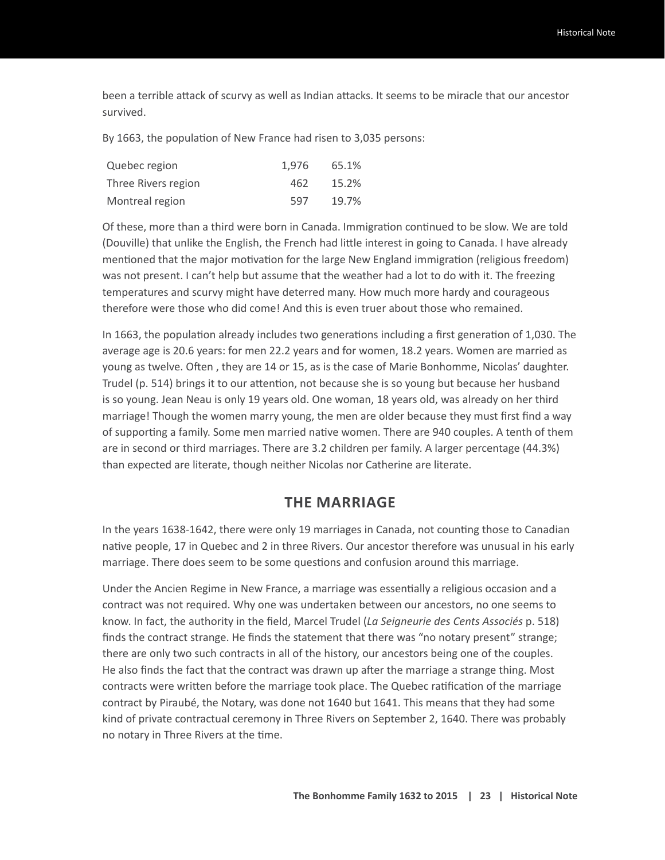been a terrible attack of scurvy as well as Indian attacks. It seems to be miracle that our ancestor survived.

By 1663, the population of New France had risen to 3,035 persons:

| Quebec region       | 1.976 | 65.1% |
|---------------------|-------|-------|
| Three Rivers region | 462   | 15.2% |
| Montreal region     | 597   | 19.7% |

Of these, more than a third were born in Canada. Immigration continued to be slow. We are told (Douville) that unlike the English, the French had little interest in going to Canada. I have already mentioned that the major motivation for the large New England immigration (religious freedom) was not present. I can't help but assume that the weather had a lot to do with it. The freezing temperatures and scurvy might have deterred many. How much more hardy and courageous therefore were those who did come! And this is even truer about those who remained.

In 1663, the population already includes two generations including a first generation of 1,030. The average age is 20.6 years: for men 22.2 years and for women, 18.2 years. Women are married as young as twelve. Often , they are 14 or 15, as is the case of Marie Bonhomme, Nicolas' daughter. Trudel (p. 514) brings it to our attention, not because she is so young but because her husband is so young. Jean Neau is only 19 years old. One woman, 18 years old, was already on her third marriage! Though the women marry young, the men are older because they must first find a way of supporting a family. Some men married native women. There are 940 couples. A tenth of them are in second or third marriages. There are 3.2 children per family. A larger percentage (44.3%) than expected are literate, though neither Nicolas nor Catherine are literate.

#### **THE MARRIAGE**

In the years 1638-1642, there were only 19 marriages in Canada, not counting those to Canadian native people, 17 in Quebec and 2 in three Rivers. Our ancestor therefore was unusual in his early marriage. There does seem to be some questions and confusion around this marriage.

Under the Ancien Regime in New France, a marriage was essentially a religious occasion and a contract was not required. Why one was undertaken between our ancestors, no one seems to know. In fact, the authority in the field, Marcel Trudel (*La Seigneurie des Cents Associés* p. 518) finds the contract strange. He finds the statement that there was "no notary present" strange; there are only two such contracts in all of the history, our ancestors being one of the couples. He also finds the fact that the contract was drawn up after the marriage a strange thing. Most contracts were written before the marriage took place. The Quebec ratification of the marriage contract by Piraubé, the Notary, was done not 1640 but 1641. This means that they had some kind of private contractual ceremony in Three Rivers on September 2, 1640. There was probably no notary in Three Rivers at the time.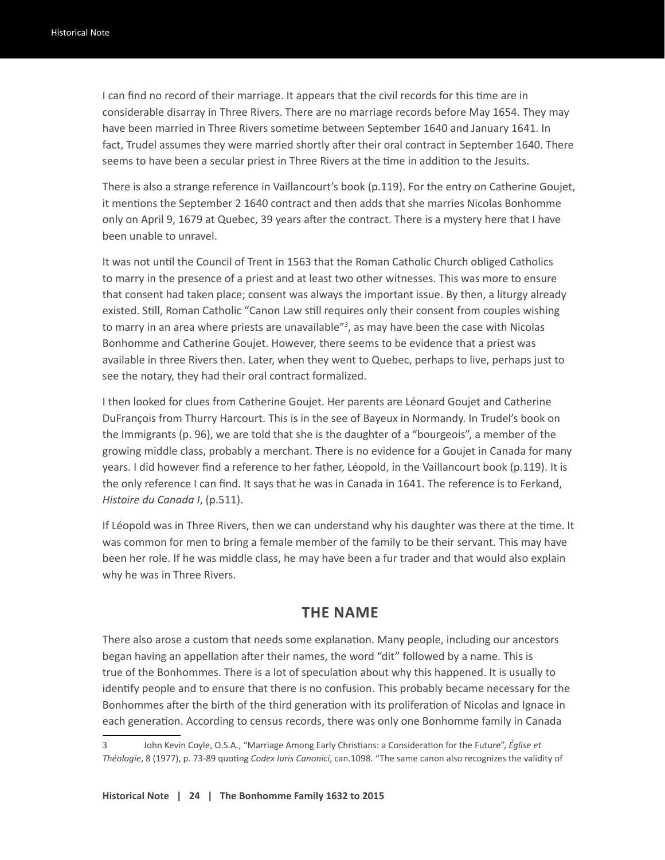I can find no record of their marriage. It appears that the civil records for this time are in considerable disarray in Three Rivers. There are no marriage records before May 1654. They may have been married in Three Rivers sometime between September 1640 and January 1641. In fact, Trudel assumes they were married shortly after their oral contract in September 1640. There seems to have been a secular priest in Three Rivers at the time in addition to the Jesuits.

There is also a strange reference in Vaillancourt's book (p.119). For the entry on Catherine Goujet, it mentions the September 2 1640 contract and then adds that she marries Nicolas Bonhomme only on April 9, 1679 at Quebec, 39 years after the contract. There is a mystery here that I have been unable to unravel.

It was not until the Council of Trent in 1563 that the Roman Catholic Church obliged Catholics to marry in the presence of a priest and at least two other witnesses. This was more to ensure that consent had taken place; consent was always the important issue. By then, a liturgy already existed. Still, Roman Catholic "Canon Law still requires only their consent from couples wishing to marry in an area where priests are unavailable"*<sup>3</sup>* , as may have been the case with Nicolas Bonhomme and Catherine Goujet. However, there seems to be evidence that a priest was available in three Rivers then. Later, when they went to Quebec, perhaps to live, perhaps just to see the notary, they had their oral contract formalized.

I then looked for clues from Catherine Goujet. Her parents are Léonard Goujet and Catherine DuFrançois from Thurry Harcourt. This is in the see of Bayeux in Normandy. In Trudel's book on the Immigrants (p. 96), we are told that she is the daughter of a "bourgeois", a member of the growing middle class, probably a merchant. There is no evidence for a Goujet in Canada for many years. I did however find a reference to her father, Léopold, in the Vaillancourt book (p.119). It is the only reference I can find. It says that he was in Canada in 1641. The reference is to Ferkand, *Histoire du Canada I*, (p.511).

If Léopold was in Three Rivers, then we can understand why his daughter was there at the time. It was common for men to bring a female member of the family to be their servant. This may have been her role. If he was middle class, he may have been a fur trader and that would also explain why he was in Three Rivers.

#### **THE NAME**

There also arose a custom that needs some explanation. Many people, including our ancestors began having an appellation after their names, the word "dit" followed by a name. This is true of the Bonhommes. There is a lot of speculation about why this happened. It is usually to identify people and to ensure that there is no confusion. This probably became necessary for the Bonhommes after the birth of the third generation with its proliferation of Nicolas and Ignace in each generation. According to census records, there was only one Bonhomme family in Canada

**Historical Note | 24 | The Bonhomme Family 1632 to 2015**

<sup>3</sup> John Kevin Coyle, O.S.A., "Marriage Among Early Christians: a Consideration for the Future", *Église et Théologie*, 8 (1977), p. 73-89 quoting *Codex Iuris Canonici*, can.1098. "The same canon also recognizes the validity of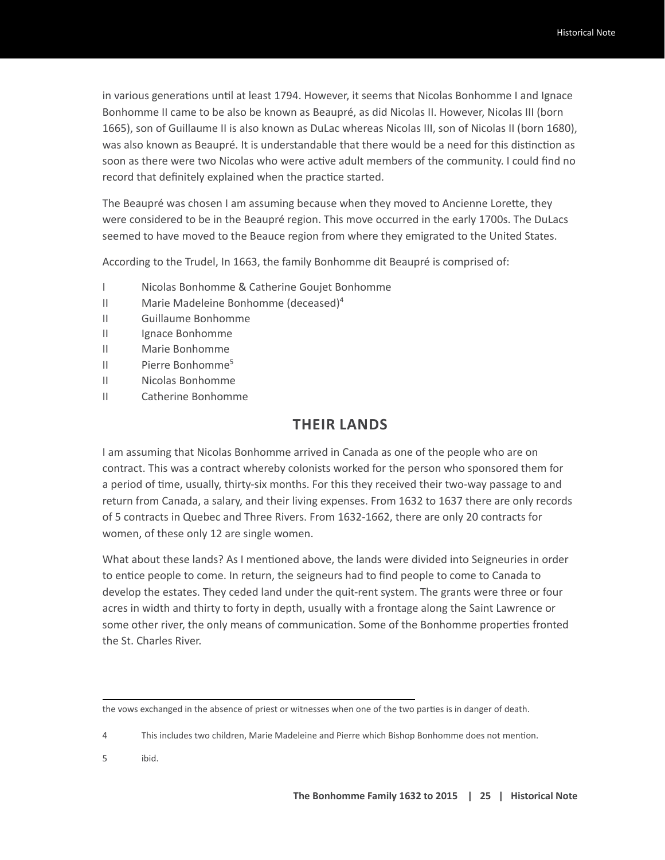in various generations until at least 1794. However, it seems that Nicolas Bonhomme I and Ignace Bonhomme II came to be also be known as Beaupré, as did Nicolas II. However, Nicolas III (born 1665), son of Guillaume II is also known as DuLac whereas Nicolas III, son of Nicolas II (born 1680), was also known as Beaupré. It is understandable that there would be a need for this distinction as soon as there were two Nicolas who were active adult members of the community. I could find no record that definitely explained when the practice started.

The Beaupré was chosen I am assuming because when they moved to Ancienne Lorette, they were considered to be in the Beaupré region. This move occurred in the early 1700s. The DuLacs seemed to have moved to the Beauce region from where they emigrated to the United States.

According to the Trudel, In 1663, the family Bonhomme dit Beaupré is comprised of:

- I Nicolas Bonhomme & Catherine Goujet Bonhomme
- II Marie Madeleine Bonhomme (deceased)<sup>4</sup>
- II Guillaume Bonhomme
- II Ignace Bonhomme
- II Marie Bonhomme
- II Pierre Bonhomme5
- II Nicolas Bonhomme
- II Catherine Bonhomme

#### **THEIR LANDS**

I am assuming that Nicolas Bonhomme arrived in Canada as one of the people who are on contract. This was a contract whereby colonists worked for the person who sponsored them for a period of time, usually, thirty-six months. For this they received their two-way passage to and return from Canada, a salary, and their living expenses. From 1632 to 1637 there are only records of 5 contracts in Quebec and Three Rivers. From 1632-1662, there are only 20 contracts for women, of these only 12 are single women.

What about these lands? As I mentioned above, the lands were divided into Seigneuries in order to entice people to come. In return, the seigneurs had to find people to come to Canada to develop the estates. They ceded land under the quit-rent system. The grants were three or four acres in width and thirty to forty in depth, usually with a frontage along the Saint Lawrence or some other river, the only means of communication. Some of the Bonhomme properties fronted the St. Charles River.

5 ibid.

the vows exchanged in the absence of priest or witnesses when one of the two parties is in danger of death.

<sup>4</sup> This includes two children, Marie Madeleine and Pierre which Bishop Bonhomme does not mention.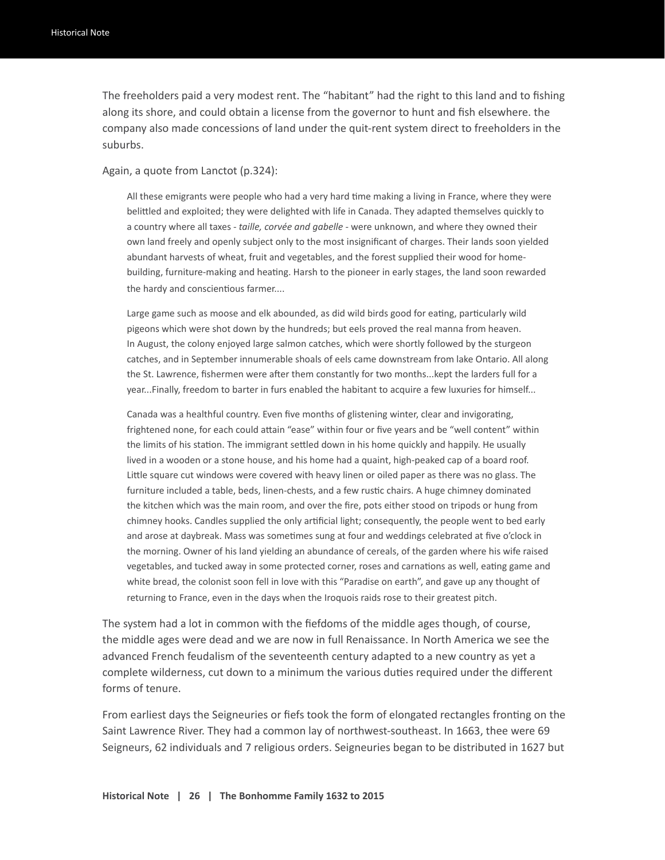The freeholders paid a very modest rent. The "habitant" had the right to this land and to fishing along its shore, and could obtain a license from the governor to hunt and fish elsewhere. the company also made concessions of land under the quit-rent system direct to freeholders in the suburbs.

Again, a quote from Lanctot (p.324):

All these emigrants were people who had a very hard time making a living in France, where they were belittled and exploited; they were delighted with life in Canada. They adapted themselves quickly to a country where all taxes - *taille, corvée and gabelle* - were unknown, and where they owned their own land freely and openly subject only to the most insignificant of charges. Their lands soon yielded abundant harvests of wheat, fruit and vegetables, and the forest supplied their wood for homebuilding, furniture-making and heating. Harsh to the pioneer in early stages, the land soon rewarded the hardy and conscientious farmer....

Large game such as moose and elk abounded, as did wild birds good for eating, particularly wild pigeons which were shot down by the hundreds; but eels proved the real manna from heaven. In August, the colony enjoyed large salmon catches, which were shortly followed by the sturgeon catches, and in September innumerable shoals of eels came downstream from lake Ontario. All along the St. Lawrence, fishermen were after them constantly for two months...kept the larders full for a year...Finally, freedom to barter in furs enabled the habitant to acquire a few luxuries for himself...

Canada was a healthful country. Even five months of glistening winter, clear and invigorating, frightened none, for each could attain "ease" within four or five years and be "well content" within the limits of his station. The immigrant settled down in his home quickly and happily. He usually lived in a wooden or a stone house, and his home had a quaint, high-peaked cap of a board roof. Little square cut windows were covered with heavy linen or oiled paper as there was no glass. The furniture included a table, beds, linen-chests, and a few rustic chairs. A huge chimney dominated the kitchen which was the main room, and over the fire, pots either stood on tripods or hung from chimney hooks. Candles supplied the only artificial light; consequently, the people went to bed early and arose at daybreak. Mass was sometimes sung at four and weddings celebrated at five o'clock in the morning. Owner of his land yielding an abundance of cereals, of the garden where his wife raised vegetables, and tucked away in some protected corner, roses and carnations as well, eating game and white bread, the colonist soon fell in love with this "Paradise on earth", and gave up any thought of returning to France, even in the days when the Iroquois raids rose to their greatest pitch.

The system had a lot in common with the fiefdoms of the middle ages though, of course, the middle ages were dead and we are now in full Renaissance. In North America we see the advanced French feudalism of the seventeenth century adapted to a new country as yet a complete wilderness, cut down to a minimum the various duties required under the different forms of tenure.

From earliest days the Seigneuries or fiefs took the form of elongated rectangles fronting on the Saint Lawrence River. They had a common lay of northwest-southeast. In 1663, thee were 69 Seigneurs, 62 individuals and 7 religious orders. Seigneuries began to be distributed in 1627 but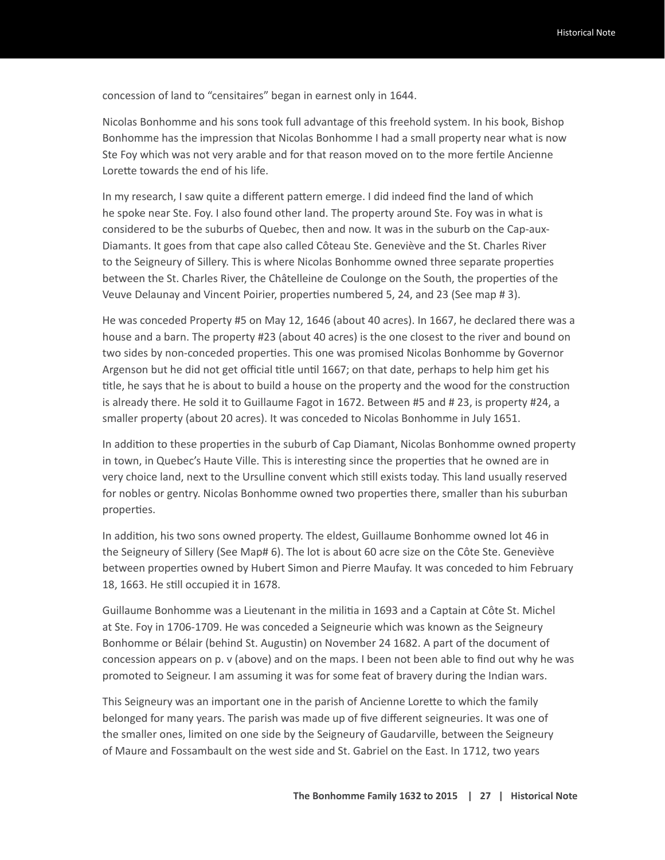concession of land to "censitaires" began in earnest only in 1644.

Nicolas Bonhomme and his sons took full advantage of this freehold system. In his book, Bishop Bonhomme has the impression that Nicolas Bonhomme I had a small property near what is now Ste Foy which was not very arable and for that reason moved on to the more fertile Ancienne Lorette towards the end of his life.

In my research, I saw quite a different pattern emerge. I did indeed find the land of which he spoke near Ste. Foy. I also found other land. The property around Ste. Foy was in what is considered to be the suburbs of Quebec, then and now. It was in the suburb on the Cap-aux-Diamants. It goes from that cape also called Côteau Ste. Geneviève and the St. Charles River to the Seigneury of Sillery. This is where Nicolas Bonhomme owned three separate properties between the St. Charles River, the Châtelleine de Coulonge on the South, the properties of the Veuve Delaunay and Vincent Poirier, properties numbered 5, 24, and 23 (See map # 3).

He was conceded Property #5 on May 12, 1646 (about 40 acres). In 1667, he declared there was a house and a barn. The property #23 (about 40 acres) is the one closest to the river and bound on two sides by non-conceded properties. This one was promised Nicolas Bonhomme by Governor Argenson but he did not get official title until 1667; on that date, perhaps to help him get his title, he says that he is about to build a house on the property and the wood for the construction is already there. He sold it to Guillaume Fagot in 1672. Between #5 and # 23, is property #24, a smaller property (about 20 acres). It was conceded to Nicolas Bonhomme in July 1651.

In addition to these properties in the suburb of Cap Diamant, Nicolas Bonhomme owned property in town, in Quebec's Haute Ville. This is interesting since the properties that he owned are in very choice land, next to the Ursulline convent which still exists today. This land usually reserved for nobles or gentry. Nicolas Bonhomme owned two properties there, smaller than his suburban properties.

In addition, his two sons owned property. The eldest, Guillaume Bonhomme owned lot 46 in the Seigneury of Sillery (See Map# 6). The lot is about 60 acre size on the Côte Ste. Geneviève between properties owned by Hubert Simon and Pierre Maufay. It was conceded to him February 18, 1663. He still occupied it in 1678.

Guillaume Bonhomme was a Lieutenant in the militia in 1693 and a Captain at Côte St. Michel at Ste. Foy in 1706-1709. He was conceded a Seigneurie which was known as the Seigneury Bonhomme or Bélair (behind St. Augustin) on November 24 1682. A part of the document of concession appears on p. v (above) and on the maps. I been not been able to find out why he was promoted to Seigneur. I am assuming it was for some feat of bravery during the Indian wars.

This Seigneury was an important one in the parish of Ancienne Lorette to which the family belonged for many years. The parish was made up of five different seigneuries. It was one of the smaller ones, limited on one side by the Seigneury of Gaudarville, between the Seigneury of Maure and Fossambault on the west side and St. Gabriel on the East. In 1712, two years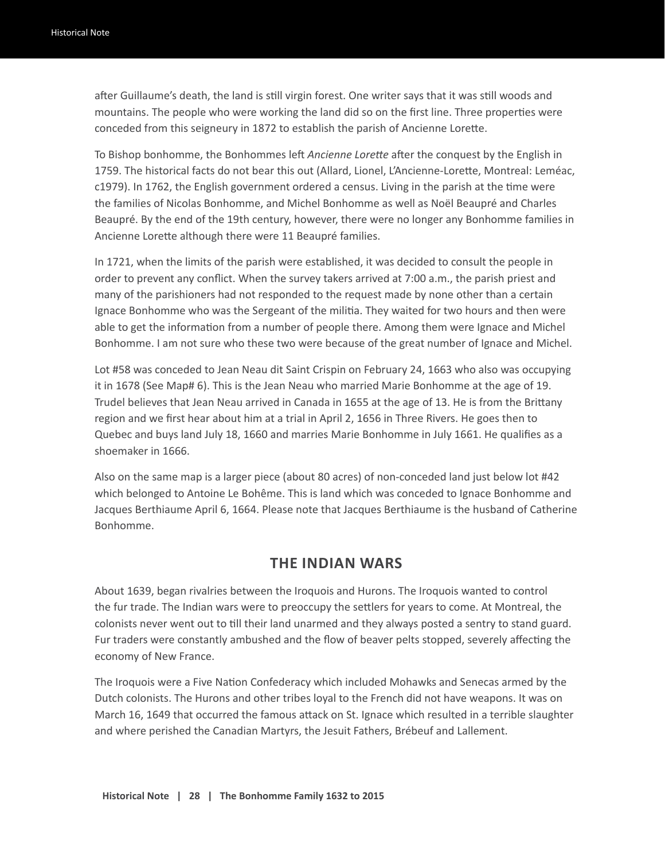after Guillaume's death, the land is still virgin forest. One writer says that it was still woods and mountains. The people who were working the land did so on the first line. Three properties were conceded from this seigneury in 1872 to establish the parish of Ancienne Lorette.

To Bishop bonhomme, the Bonhommes left *Ancienne Lorette* after the conquest by the English in 1759. The historical facts do not bear this out (Allard, Lionel, L'Ancienne-Lorette, Montreal: Leméac, c1979). In 1762, the English government ordered a census. Living in the parish at the time were the families of Nicolas Bonhomme, and Michel Bonhomme as well as Noël Beaupré and Charles Beaupré. By the end of the 19th century, however, there were no longer any Bonhomme families in Ancienne Lorette although there were 11 Beaupré families.

In 1721, when the limits of the parish were established, it was decided to consult the people in order to prevent any conflict. When the survey takers arrived at 7:00 a.m., the parish priest and many of the parishioners had not responded to the request made by none other than a certain Ignace Bonhomme who was the Sergeant of the militia. They waited for two hours and then were able to get the information from a number of people there. Among them were Ignace and Michel Bonhomme. I am not sure who these two were because of the great number of Ignace and Michel.

Lot #58 was conceded to Jean Neau dit Saint Crispin on February 24, 1663 who also was occupying it in 1678 (See Map# 6). This is the Jean Neau who married Marie Bonhomme at the age of 19. Trudel believes that Jean Neau arrived in Canada in 1655 at the age of 13. He is from the Brittany region and we first hear about him at a trial in April 2, 1656 in Three Rivers. He goes then to Quebec and buys land July 18, 1660 and marries Marie Bonhomme in July 1661. He qualifies as a shoemaker in 1666.

Also on the same map is a larger piece (about 80 acres) of non-conceded land just below lot #42 which belonged to Antoine Le Bohême. This is land which was conceded to Ignace Bonhomme and Jacques Berthiaume April 6, 1664. Please note that Jacques Berthiaume is the husband of Catherine Bonhomme.

#### **THE INDIAN WARS**

About 1639, began rivalries between the Iroquois and Hurons. The Iroquois wanted to control the fur trade. The Indian wars were to preoccupy the settlers for years to come. At Montreal, the colonists never went out to till their land unarmed and they always posted a sentry to stand guard. Fur traders were constantly ambushed and the flow of beaver pelts stopped, severely affecting the economy of New France.

The Iroquois were a Five Nation Confederacy which included Mohawks and Senecas armed by the Dutch colonists. The Hurons and other tribes loyal to the French did not have weapons. It was on March 16, 1649 that occurred the famous attack on St. Ignace which resulted in a terrible slaughter and where perished the Canadian Martyrs, the Jesuit Fathers, Brébeuf and Lallement.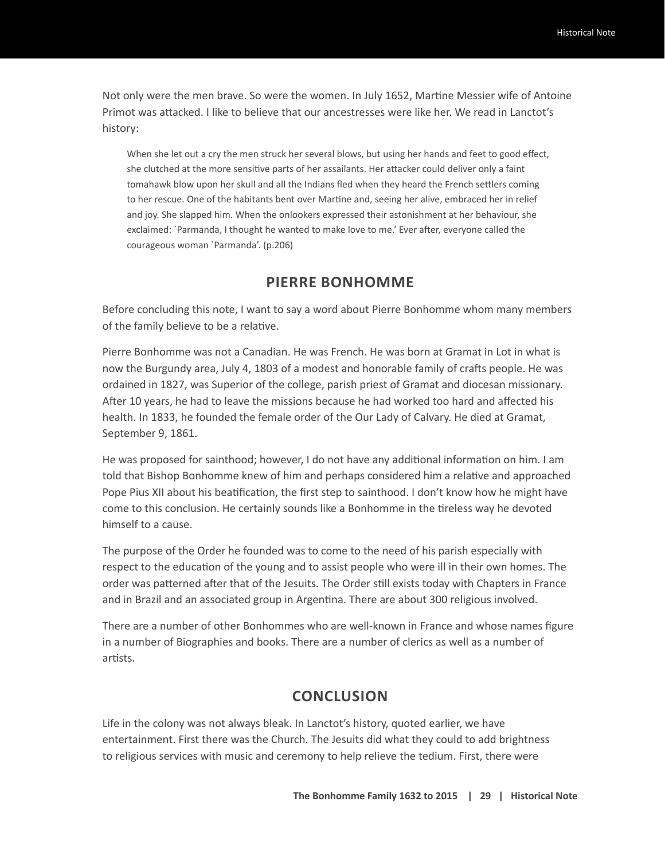Not only were the men brave. So were the women. In July 1652, Martine Messier wife of Antoine Primot was attacked. I like to believe that our ancestresses were like her. We read in Lanctot's history:

When she let out a cry the men struck her several blows, but using her hands and feet to good effect, she clutched at the more sensitive parts of her assailants. Her attacker could deliver only a faint tomahawk blow upon her skull and all the Indians fled when they heard the French settlers coming to her rescue. One of the habitants bent over Martine and, seeing her alive, embraced her in relief and joy. She slapped him. When the onlookers expressed their astonishment at her behaviour, she exclaimed: `Parmanda, I thought he wanted to make love to me.' Ever after, everyone called the courageous woman `Parmanda'. (p.206)

#### **PIERRE BONHOMME**

Before concluding this note, I want to say a word about Pierre Bonhomme whom many members of the family believe to be a relative.

Pierre Bonhomme was not a Canadian. He was French. He was born at Gramat in Lot in what is now the Burgundy area, July 4, 1803 of a modest and honorable family of crafts people. He was ordained in 1827, was Superior of the college, parish priest of Gramat and diocesan missionary. After 10 years, he had to leave the missions because he had worked too hard and affected his health. In 1833, he founded the female order of the Our Lady of Calvary. He died at Gramat, September 9, 1861.

He was proposed for sainthood; however, I do not have any additional information on him. I am told that Bishop Bonhomme knew of him and perhaps considered him a relative and approached Pope Pius XII about his beatification, the first step to sainthood. I don't know how he might have come to this conclusion. He certainly sounds like a Bonhomme in the tireless way he devoted himself to a cause.

The purpose of the Order he founded was to come to the need of his parish especially with respect to the education of the young and to assist people who were ill in their own homes. The order was patterned after that of the Jesuits. The Order still exists today with Chapters in France and in Brazil and an associated group in Argentina. There are about 300 religious involved.

There are a number of other Bonhommes who are well-known in France and whose names figure in a number of Biographies and books. There are a number of clerics as well as a number of artists.

#### **CONCLUSION**

Life in the colony was not always bleak. In Lanctot's history, quoted earlier, we have entertainment. First there was the Church. The Jesuits did what they could to add brightness to religious services with music and ceremony to help relieve the tedium. First, there were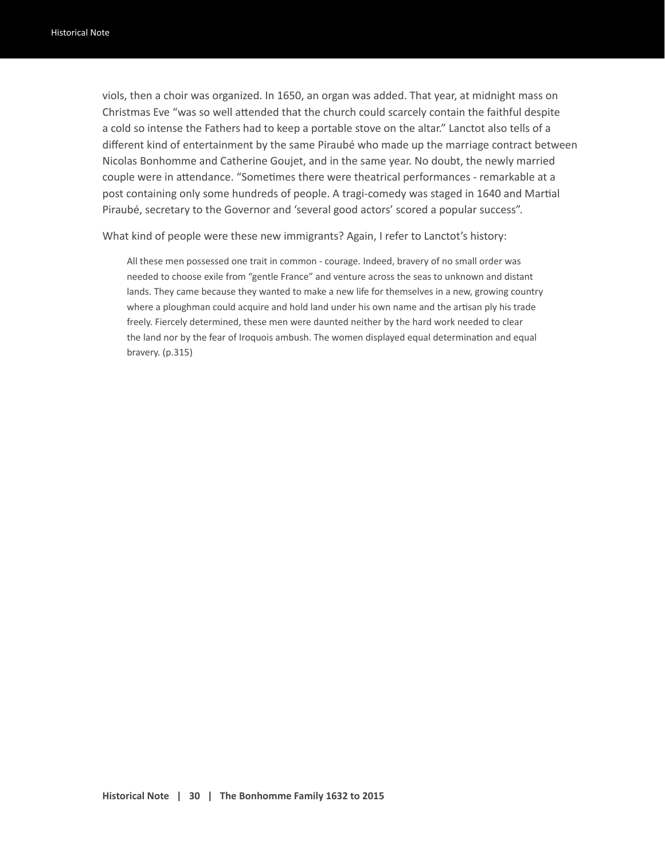viols, then a choir was organized. In 1650, an organ was added. That year, at midnight mass on Christmas Eve "was so well attended that the church could scarcely contain the faithful despite a cold so intense the Fathers had to keep a portable stove on the altar." Lanctot also tells of a different kind of entertainment by the same Piraubé who made up the marriage contract between Nicolas Bonhomme and Catherine Goujet, and in the same year. No doubt, the newly married couple were in attendance. "Sometimes there were theatrical performances - remarkable at a post containing only some hundreds of people. A tragi-comedy was staged in 1640 and Martial Piraubé, secretary to the Governor and 'several good actors' scored a popular success".

What kind of people were these new immigrants? Again, I refer to Lanctot's history:

All these men possessed one trait in common - courage. Indeed, bravery of no small order was needed to choose exile from "gentle France" and venture across the seas to unknown and distant lands. They came because they wanted to make a new life for themselves in a new, growing country where a ploughman could acquire and hold land under his own name and the artisan ply his trade freely. Fiercely determined, these men were daunted neither by the hard work needed to clear the land nor by the fear of Iroquois ambush. The women displayed equal determination and equal bravery. (p.315)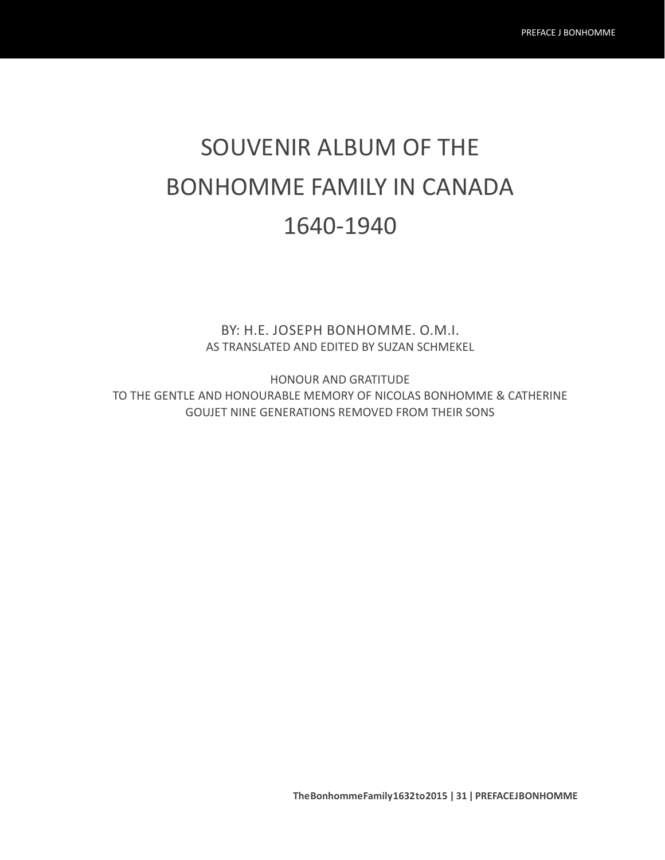# SOUVENIR ALBUM OF THE BONHOMME FAMILY IN CANADA 1640-1940

BY: H.E. JOSEPH BONHOMME. O.M.I. AS TRANSLATED AND EDITED BY SUZAN SCHMEKEL

HONOUR AND GRATITUDE TO THE GENTLE AND HONOURABLE MEMORY OF NICOLAS BONHOMME & CATHERINE GOUJET NINE GENERATIONS REMOVED FROM THEIR SONS

**The Bonhomme Family 1632 to 2015 | 31 | PREFACE J BONHOMME**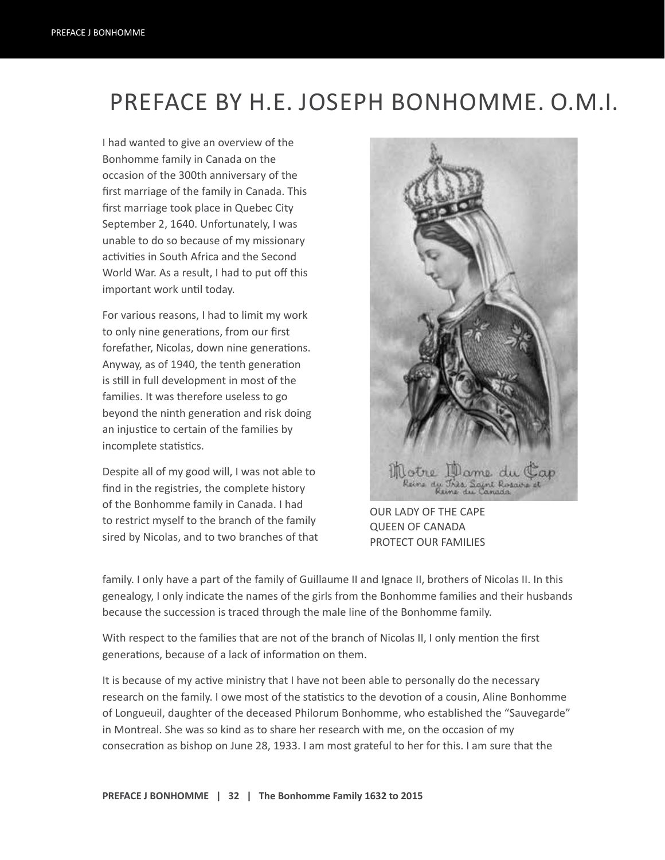## PREFACE BY H.E. JOSEPH BONHOMME. O.M.I.

I had wanted to give an overview of the Bonhomme family in Canada on the occasion of the 300th anniversary of the first marriage of the family in Canada. This first marriage took place in Quebec City September 2, 1640. Unfortunately, I was unable to do so because of my missionary activities in South Africa and the Second World War. As a result, I had to put off this important work until today.

For various reasons, I had to limit my work to only nine generations, from our first forefather, Nicolas, down nine generations. Anyway, as of 1940, the tenth generation is still in full development in most of the families. It was therefore useless to go beyond the ninth generation and risk doing an injustice to certain of the families by incomplete statistics.

Despite all of my good will, I was not able to find in the registries, the complete history of the Bonhomme family in Canada. I had to restrict myself to the branch of the family sired by Nicolas, and to two branches of that



OUR LADY OF THE CAPE QUEEN OF CANADA PROTECT OUR FAMILIES

family. I only have a part of the family of Guillaume II and Ignace II, brothers of Nicolas II. In this genealogy, I only indicate the names of the girls from the Bonhomme families and their husbands because the succession is traced through the male line of the Bonhomme family.

With respect to the families that are not of the branch of Nicolas II, I only mention the first generations, because of a lack of information on them.

It is because of my active ministry that I have not been able to personally do the necessary research on the family. I owe most of the statistics to the devotion of a cousin, Aline Bonhomme of Longueuil, daughter of the deceased Philorum Bonhomme, who established the "Sauvegarde" in Montreal. She was so kind as to share her research with me, on the occasion of my consecration as bishop on June 28, 1933. I am most grateful to her for this. I am sure that the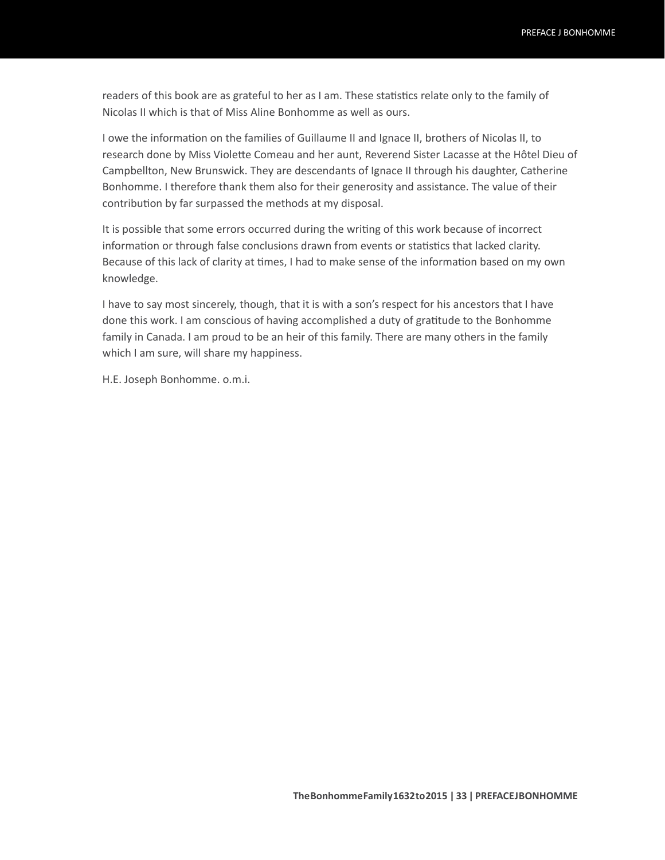readers of this book are as grateful to her as I am. These statistics relate only to the family of Nicolas II which is that of Miss Aline Bonhomme as well as ours.

I owe the information on the families of Guillaume II and Ignace II, brothers of Nicolas II, to research done by Miss Violette Comeau and her aunt, Reverend Sister Lacasse at the Hôtel Dieu of Campbellton, New Brunswick. They are descendants of Ignace II through his daughter, Catherine Bonhomme. I therefore thank them also for their generosity and assistance. The value of their contribution by far surpassed the methods at my disposal.

It is possible that some errors occurred during the writing of this work because of incorrect information or through false conclusions drawn from events or statistics that lacked clarity. Because of this lack of clarity at times, I had to make sense of the information based on my own knowledge.

I have to say most sincerely, though, that it is with a son's respect for his ancestors that I have done this work. I am conscious of having accomplished a duty of gratitude to the Bonhomme family in Canada. I am proud to be an heir of this family. There are many others in the family which I am sure, will share my happiness.

H.E. Joseph Bonhomme. o.m.i.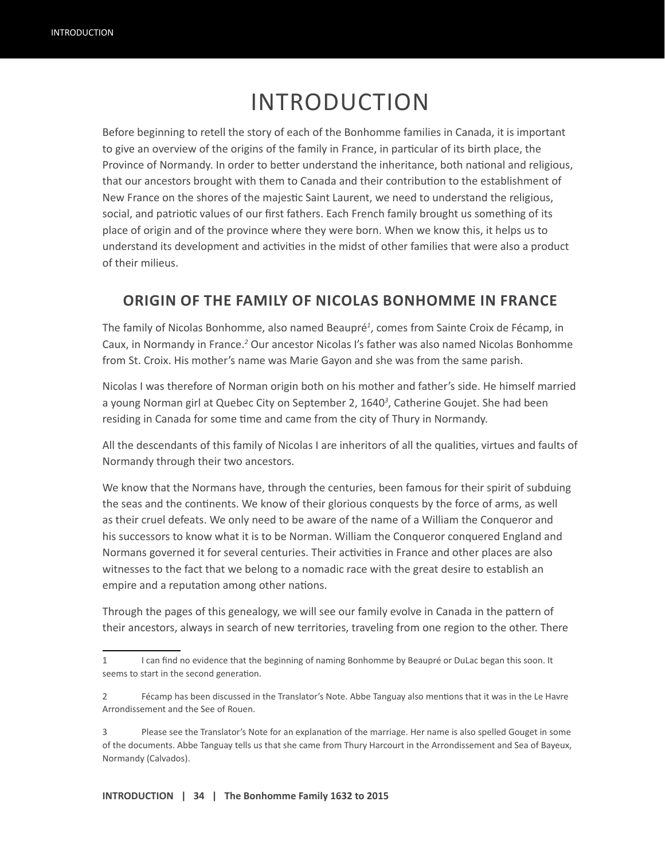# INTRODUCTION

Before beginning to retell the story of each of the Bonhomme families in Canada, it is important to give an overview of the origins of the family in France, in particular of its birth place, the Province of Normandy. In order to better understand the inheritance, both national and religious, that our ancestors brought with them to Canada and their contribution to the establishment of New France on the shores of the majestic Saint Laurent, we need to understand the religious, social, and patriotic values of our first fathers. Each French family brought us something of its place of origin and of the province where they were born. When we know this, it helps us to understand its development and activities in the midst of other families that were also a product of their milieus.

#### **ORIGIN OF THE FAMILY OF NICOLAS BONHOMME IN FRANCE**

The family of Nicolas Bonhomme, also named Beaupré*<sup>1</sup>* , comes from Sainte Croix de Fécamp, in Caux, in Normandy in France.<sup>2</sup> Our ancestor Nicolas I's father was also named Nicolas Bonhomme from St. Croix. His mother's name was Marie Gayon and she was from the same parish.

Nicolas I was therefore of Norman origin both on his mother and father's side. He himself married a young Norman girl at Quebec City on September 2, 1640*<sup>3</sup>* , Catherine Goujet. She had been residing in Canada for some time and came from the city of Thury in Normandy.

All the descendants of this family of Nicolas I are inheritors of all the qualities, virtues and faults of Normandy through their two ancestors.

We know that the Normans have, through the centuries, been famous for their spirit of subduing the seas and the continents. We know of their glorious conquests by the force of arms, as well as their cruel defeats. We only need to be aware of the name of a William the Conqueror and his successors to know what it is to be Norman. William the Conqueror conquered England and Normans governed it for several centuries. Their activities in France and other places are also witnesses to the fact that we belong to a nomadic race with the great desire to establish an empire and a reputation among other nations.

Through the pages of this genealogy, we will see our family evolve in Canada in the pattern of their ancestors, always in search of new territories, traveling from one region to the other. There

<sup>1</sup> I can find no evidence that the beginning of naming Bonhomme by Beaupré or DuLac began this soon. It seems to start in the second generation.

<sup>2</sup> Fécamp has been discussed in the Translator's Note. Abbe Tanguay also mentions that it was in the Le Havre Arrondissement and the See of Rouen.

<sup>3</sup> Please see the Translator's Note for an explanation of the marriage. Her name is also spelled Gouget in some of the documents. Abbe Tanguay tells us that she came from Thury Harcourt in the Arrondissement and Sea of Bayeux, Normandy (Calvados).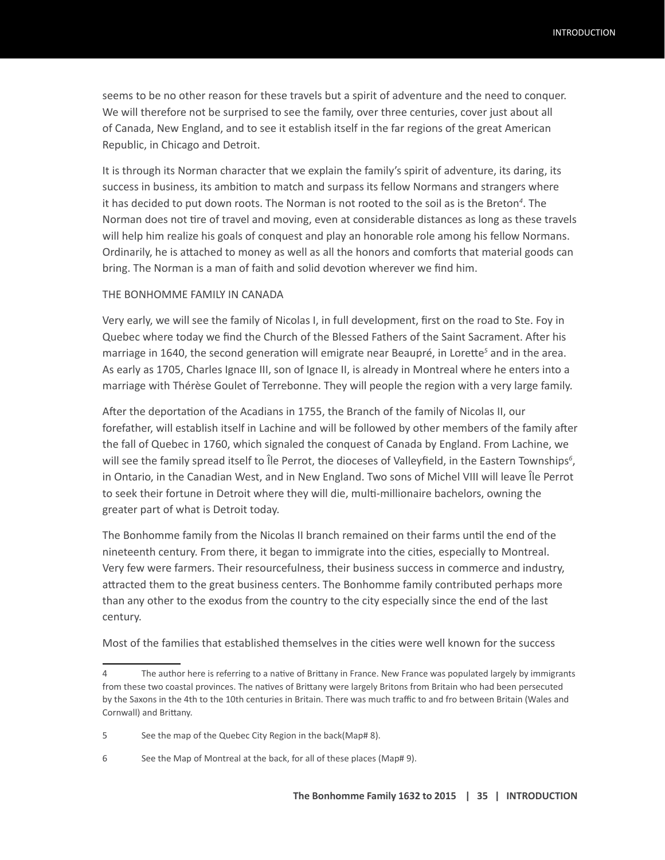seems to be no other reason for these travels but a spirit of adventure and the need to conquer. We will therefore not be surprised to see the family, over three centuries, cover just about all of Canada, New England, and to see it establish itself in the far regions of the great American Republic, in Chicago and Detroit.

It is through its Norman character that we explain the family's spirit of adventure, its daring, its success in business, its ambition to match and surpass its fellow Normans and strangers where it has decided to put down roots. The Norman is not rooted to the soil as is the Breton*<sup>4</sup>* . The Norman does not tire of travel and moving, even at considerable distances as long as these travels will help him realize his goals of conquest and play an honorable role among his fellow Normans. Ordinarily, he is attached to money as well as all the honors and comforts that material goods can bring. The Norman is a man of faith and solid devotion wherever we find him.

#### THE BONHOMME FAMILY IN CANADA

Very early, we will see the family of Nicolas I, in full development, first on the road to Ste. Foy in Quebec where today we find the Church of the Blessed Fathers of the Saint Sacrament. After his marriage in 1640, the second generation will emigrate near Beaupré, in Lorette<sup>5</sup> and in the area. As early as 1705, Charles Ignace III, son of Ignace II, is already in Montreal where he enters into a marriage with Thérèse Goulet of Terrebonne. They will people the region with a very large family.

After the deportation of the Acadians in 1755, the Branch of the family of Nicolas II, our forefather, will establish itself in Lachine and will be followed by other members of the family after the fall of Quebec in 1760, which signaled the conquest of Canada by England. From Lachine, we will see the family spread itself to Île Perrot, the dioceses of Valleyfield, in the Eastern Townships<sup>6</sup>, in Ontario, in the Canadian West, and in New England. Two sons of Michel VIII will leave Île Perrot to seek their fortune in Detroit where they will die, multi-millionaire bachelors, owning the greater part of what is Detroit today.

The Bonhomme family from the Nicolas II branch remained on their farms until the end of the nineteenth century. From there, it began to immigrate into the cities, especially to Montreal. Very few were farmers. Their resourcefulness, their business success in commerce and industry, attracted them to the great business centers. The Bonhomme family contributed perhaps more than any other to the exodus from the country to the city especially since the end of the last century.

Most of the families that established themselves in the cities were well known for the success

<sup>4</sup> The author here is referring to a native of Brittany in France. New France was populated largely by immigrants from these two coastal provinces. The natives of Brittany were largely Britons from Britain who had been persecuted by the Saxons in the 4th to the 10th centuries in Britain. There was much traffic to and fro between Britain (Wales and Cornwall) and Brittany.

<sup>5</sup> See the map of the Quebec City Region in the back(Map# 8).

<sup>6</sup> See the Map of Montreal at the back, for all of these places (Map# 9).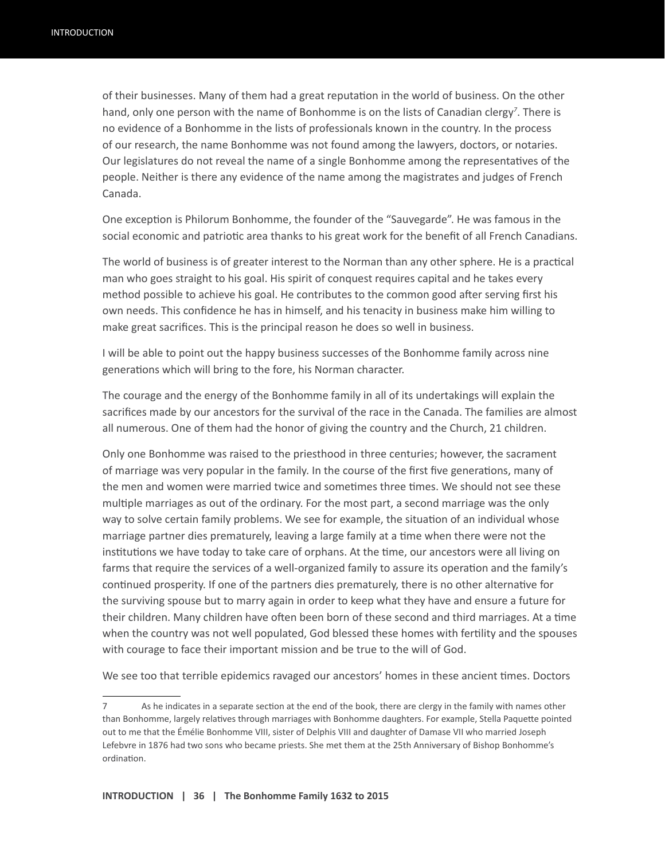of their businesses. Many of them had a great reputation in the world of business. On the other hand, only one person with the name of Bonhomme is on the lists of Canadian clergy*<sup>7</sup>* . There is no evidence of a Bonhomme in the lists of professionals known in the country. In the process of our research, the name Bonhomme was not found among the lawyers, doctors, or notaries. Our legislatures do not reveal the name of a single Bonhomme among the representatives of the people. Neither is there any evidence of the name among the magistrates and judges of French Canada.

One exception is Philorum Bonhomme, the founder of the "Sauvegarde". He was famous in the social economic and patriotic area thanks to his great work for the benefit of all French Canadians.

The world of business is of greater interest to the Norman than any other sphere. He is a practical man who goes straight to his goal. His spirit of conquest requires capital and he takes every method possible to achieve his goal. He contributes to the common good after serving first his own needs. This confidence he has in himself, and his tenacity in business make him willing to make great sacrifices. This is the principal reason he does so well in business.

I will be able to point out the happy business successes of the Bonhomme family across nine generations which will bring to the fore, his Norman character.

The courage and the energy of the Bonhomme family in all of its undertakings will explain the sacrifices made by our ancestors for the survival of the race in the Canada. The families are almost all numerous. One of them had the honor of giving the country and the Church, 21 children.

Only one Bonhomme was raised to the priesthood in three centuries; however, the sacrament of marriage was very popular in the family. In the course of the first five generations, many of the men and women were married twice and sometimes three times. We should not see these multiple marriages as out of the ordinary. For the most part, a second marriage was the only way to solve certain family problems. We see for example, the situation of an individual whose marriage partner dies prematurely, leaving a large family at a time when there were not the institutions we have today to take care of orphans. At the time, our ancestors were all living on farms that require the services of a well-organized family to assure its operation and the family's continued prosperity. If one of the partners dies prematurely, there is no other alternative for the surviving spouse but to marry again in order to keep what they have and ensure a future for their children. Many children have often been born of these second and third marriages. At a time when the country was not well populated, God blessed these homes with fertility and the spouses with courage to face their important mission and be true to the will of God.

We see too that terrible epidemics ravaged our ancestors' homes in these ancient times. Doctors

<sup>7</sup> As he indicates in a separate section at the end of the book, there are clergy in the family with names other than Bonhomme, largely relatives through marriages with Bonhomme daughters. For example, Stella Paquette pointed out to me that the Émélie Bonhomme VIII, sister of Delphis VIII and daughter of Damase VII who married Joseph Lefebvre in 1876 had two sons who became priests. She met them at the 25th Anniversary of Bishop Bonhomme's ordination.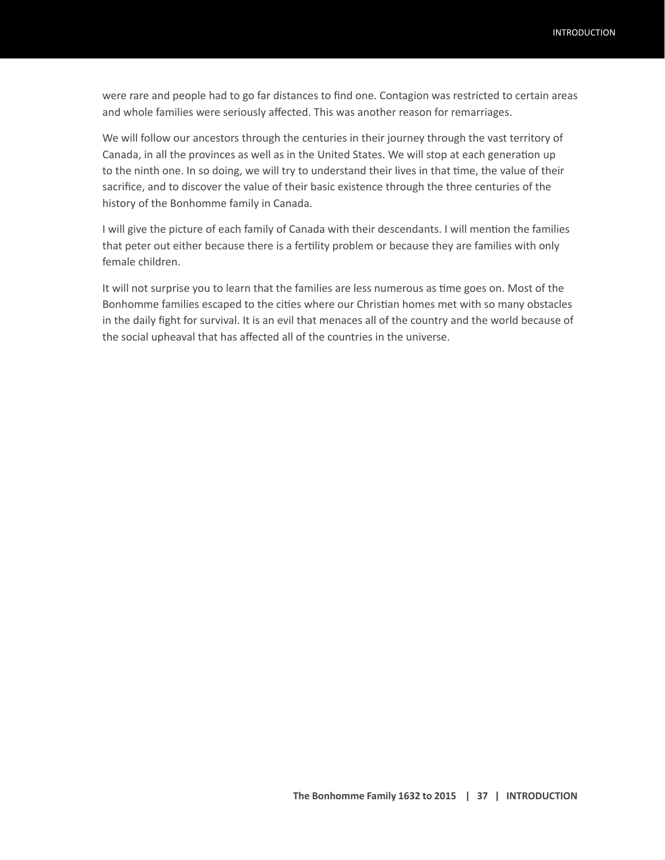were rare and people had to go far distances to find one. Contagion was restricted to certain areas and whole families were seriously affected. This was another reason for remarriages.

We will follow our ancestors through the centuries in their journey through the vast territory of Canada, in all the provinces as well as in the United States. We will stop at each generation up to the ninth one. In so doing, we will try to understand their lives in that time, the value of their sacrifice, and to discover the value of their basic existence through the three centuries of the history of the Bonhomme family in Canada.

I will give the picture of each family of Canada with their descendants. I will mention the families that peter out either because there is a fertility problem or because they are families with only female children.

It will not surprise you to learn that the families are less numerous as time goes on. Most of the Bonhomme families escaped to the cities where our Christian homes met with so many obstacles in the daily fight for survival. It is an evil that menaces all of the country and the world because of the social upheaval that has affected all of the countries in the universe.